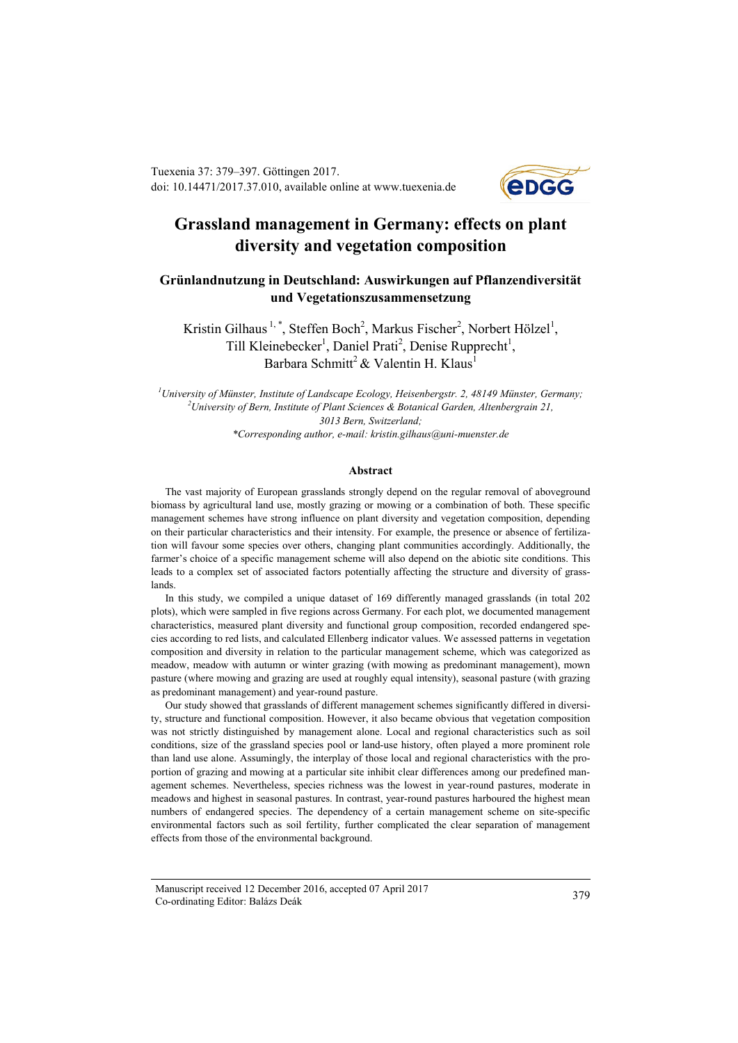Tuexenia 37: 379–397. Göttingen 2017. doi: 10.14471/2017.37.010, available online a[t www.tuexenia.de](http://www.tuexenia.de/)



# **Grassland management in Germany: effects on plant diversity and vegetation composition**

## **Grünlandnutzung in Deutschland: Auswirkungen auf Pflanzendiversität und Vegetationszusammensetzung**

Kristin Gilhaus<sup>1,\*</sup>, Steffen Boch<sup>2</sup>, Markus Fischer<sup>2</sup>, Norbert Hölzel<sup>1</sup>, Till Kleinebecker<sup>1</sup>, Daniel Prati<sup>2</sup>, Denise Rupprecht<sup>1</sup>, Barbara Schmitt<sup>2</sup> & Valentin H. Klaus<sup>1</sup>

*<sup>1</sup>University of Münster, Institute of Landscape Ecology, Heisenbergstr. 2, 48149 Münster, Germany; <sup>2</sup>University of Bern, Institute of Plant Sciences & Botanical Garden, Altenbergrain 21, 3013 Bern, Switzerland; \*Corresponding author, e-mail: kristin.gilhaus@uni-muenster.de*

#### **Abstract**

The vast majority of European grasslands strongly depend on the regular removal of aboveground biomass by agricultural land use, mostly grazing or mowing or a combination of both. These specific management schemes have strong influence on plant diversity and vegetation composition, depending on their particular characteristics and their intensity. For example, the presence or absence of fertilization will favour some species over others, changing plant communities accordingly. Additionally, the farmer's choice of a specific management scheme will also depend on the abiotic site conditions. This leads to a complex set of associated factors potentially affecting the structure and diversity of grasslands.

In this study, we compiled a unique dataset of 169 differently managed grasslands (in total 202 plots), which were sampled in five regions across Germany. For each plot, we documented management characteristics, measured plant diversity and functional group composition, recorded endangered species according to red lists, and calculated Ellenberg indicator values. We assessed patterns in vegetation composition and diversity in relation to the particular management scheme, which was categorized as meadow, meadow with autumn or winter grazing (with mowing as predominant management), mown pasture (where mowing and grazing are used at roughly equal intensity), seasonal pasture (with grazing as predominant management) and year-round pasture.

Our study showed that grasslands of different management schemes significantly differed in diversity, structure and functional composition. However, it also became obvious that vegetation composition was not strictly distinguished by management alone. Local and regional characteristics such as soil conditions, size of the grassland species pool or land-use history, often played a more prominent role than land use alone. Assumingly, the interplay of those local and regional characteristics with the proportion of grazing and mowing at a particular site inhibit clear differences among our predefined management schemes. Nevertheless, species richness was the lowest in year-round pastures, moderate in meadows and highest in seasonal pastures. In contrast, year-round pastures harboured the highest mean numbers of endangered species. The dependency of a certain management scheme on site-specific environmental factors such as soil fertility, further complicated the clear separation of management effects from those of the environmental background.

Manuscript received 12 December 2016, accepted 07 April 2017 Co-ordinating Editor: Balázs Deák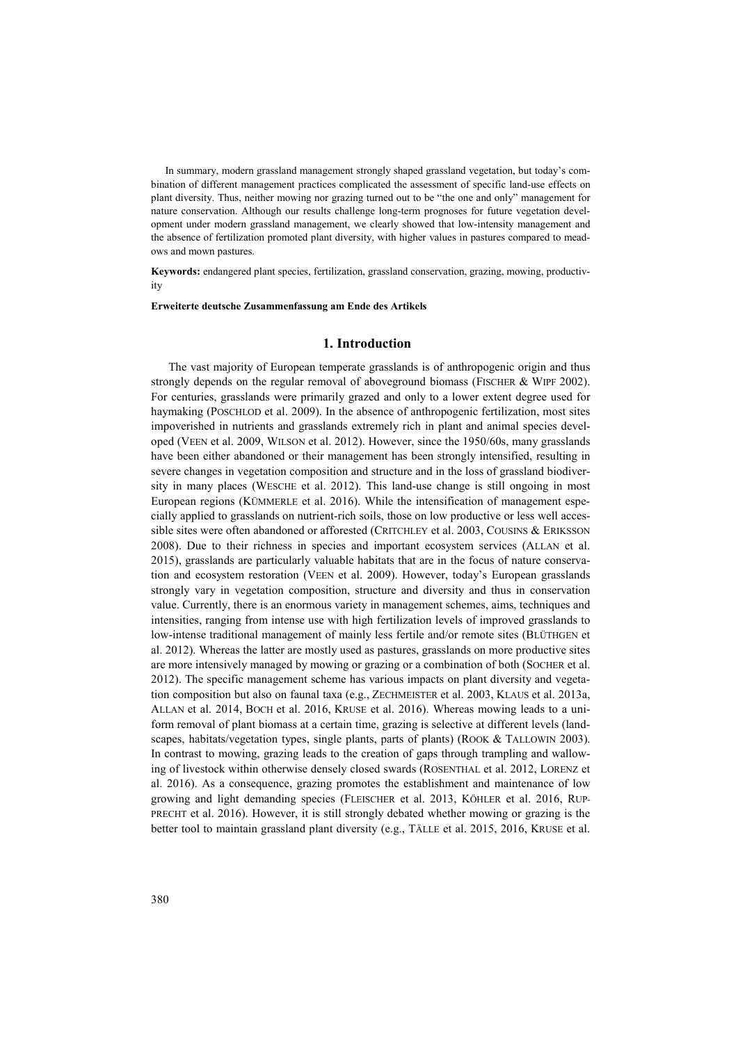In summary, modern grassland management strongly shaped grassland vegetation, but today's combination of different management practices complicated the assessment of specific land-use effects on plant diversity. Thus, neither mowing nor grazing turned out to be "the one and only" management for nature conservation. Although our results challenge long-term prognoses for future vegetation development under modern grassland management, we clearly showed that low-intensity management and the absence of fertilization promoted plant diversity, with higher values in pastures compared to meadows and mown pastures.

**Keywords:** endangered plant species, fertilization, grassland conservation, grazing, mowing, productivity

**Erweiterte deutsche Zusammenfassung am Ende des Artikels**

## **1. Introduction**

The vast majority of European temperate grasslands is of anthropogenic origin and thus strongly depends on the regular removal of aboveground biomass (FISCHER & WIPF 2002). For centuries, grasslands were primarily grazed and only to a lower extent degree used for haymaking (POSCHLOD et al. 2009). In the absence of anthropogenic fertilization, most sites impoverished in nutrients and grasslands extremely rich in plant and animal species developed (VEEN et al. 2009, WILSON et al. 2012). However, since the 1950/60s, many grasslands have been either abandoned or their management has been strongly intensified, resulting in severe changes in vegetation composition and structure and in the loss of grassland biodiversity in many places (WESCHE et al. 2012). This land-use change is still ongoing in most European regions (KÜMMERLE et al. 2016). While the intensification of management especially applied to grasslands on nutrient-rich soils, those on low productive or less well accessible sites were often abandoned or afforested (CRITCHLEY et al. 2003, COUSINS & ERIKSSON 2008). Due to their richness in species and important ecosystem services (ALLAN et al. 2015), grasslands are particularly valuable habitats that are in the focus of nature conservation and ecosystem restoration (VEEN et al. 2009). However, today's European grasslands strongly vary in vegetation composition, structure and diversity and thus in conservation value. Currently, there is an enormous variety in management schemes, aims, techniques and intensities, ranging from intense use with high fertilization levels of improved grasslands to low-intense traditional management of mainly less fertile and/or remote sites (BLÜTHGEN et al. 2012). Whereas the latter are mostly used as pastures, grasslands on more productive sites are more intensively managed by mowing or grazing or a combination of both (SOCHER et al. 2012). The specific management scheme has various impacts on plant diversity and vegetation composition but also on faunal taxa (e.g., ZECHMEISTER et al. 2003, KLAUS et al. 2013a, ALLAN et al. 2014, BOCH et al. 2016, KRUSE et al. 2016). Whereas mowing leads to a uniform removal of plant biomass at a certain time, grazing is selective at different levels (landscapes, habitats/vegetation types, single plants, parts of plants) (ROOK & TALLOWIN 2003). In contrast to mowing, grazing leads to the creation of gaps through trampling and wallowing of livestock within otherwise densely closed swards (ROSENTHAL et al. 2012, LORENZ et al. 2016). As a consequence, grazing promotes the establishment and maintenance of low growing and light demanding species (FLEISCHER et al. 2013, KÖHLER et al. 2016, RUP-PRECHT et al. 2016). However, it is still strongly debated whether mowing or grazing is the better tool to maintain grassland plant diversity (e.g., TÄLLE et al. 2015, 2016, KRUSE et al.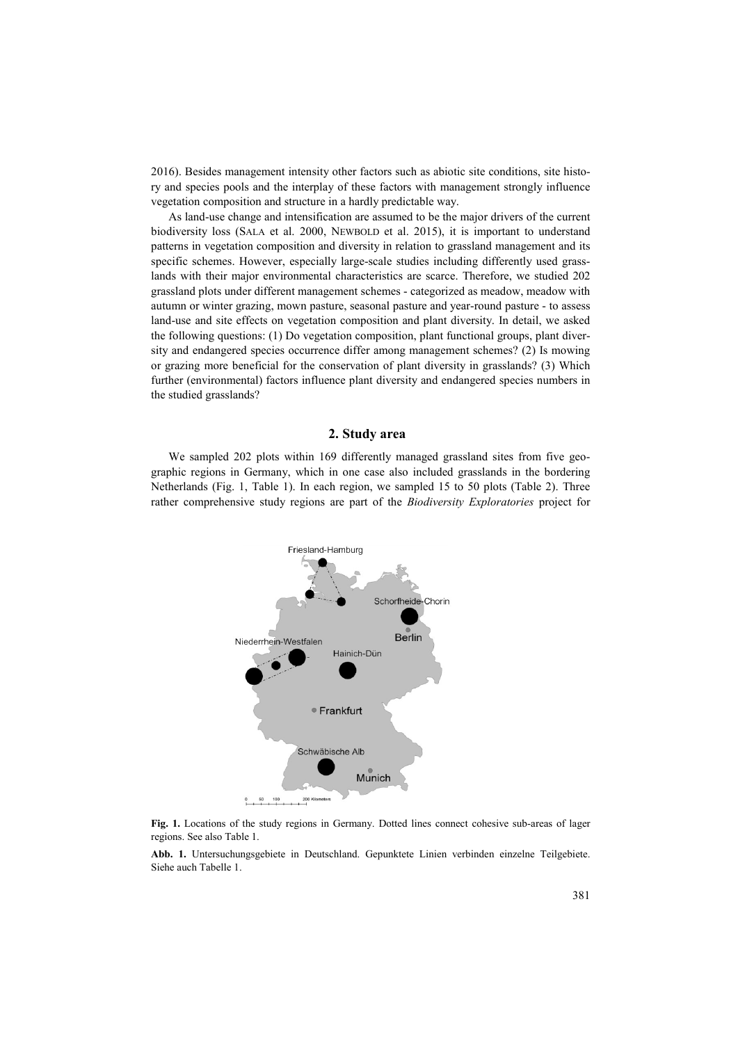2016). Besides management intensity other factors such as abiotic site conditions, site history and species pools and the interplay of these factors with management strongly influence vegetation composition and structure in a hardly predictable way.

As land-use change and intensification are assumed to be the major drivers of the current biodiversity loss (SALA et al. 2000, NEWBOLD et al. 2015), it is important to understand patterns in vegetation composition and diversity in relation to grassland management and its specific schemes. However, especially large-scale studies including differently used grasslands with their major environmental characteristics are scarce. Therefore, we studied 202 grassland plots under different management schemes - categorized as meadow, meadow with autumn or winter grazing, mown pasture, seasonal pasture and year-round pasture - to assess land-use and site effects on vegetation composition and plant diversity. In detail, we asked the following questions: (1) Do vegetation composition, plant functional groups, plant diversity and endangered species occurrence differ among management schemes? (2) Is mowing or grazing more beneficial for the conservation of plant diversity in grasslands? (3) Which further (environmental) factors influence plant diversity and endangered species numbers in the studied grasslands?

## **2. Study area**

We sampled 202 plots within 169 differently managed grassland sites from five geographic regions in Germany, which in one case also included grasslands in the bordering Netherlands (Fig. 1, Table 1). In each region, we sampled 15 to 50 plots (Table 2). Three rather comprehensive study regions are part of the *Biodiversity Exploratories* project for



**Fig. 1.** Locations of the study regions in Germany. Dotted lines connect cohesive sub-areas of lager regions. See also Table 1.

**Abb. 1.** Untersuchungsgebiete in Deutschland. Gepunktete Linien verbinden einzelne Teilgebiete. Siehe auch Tabelle 1.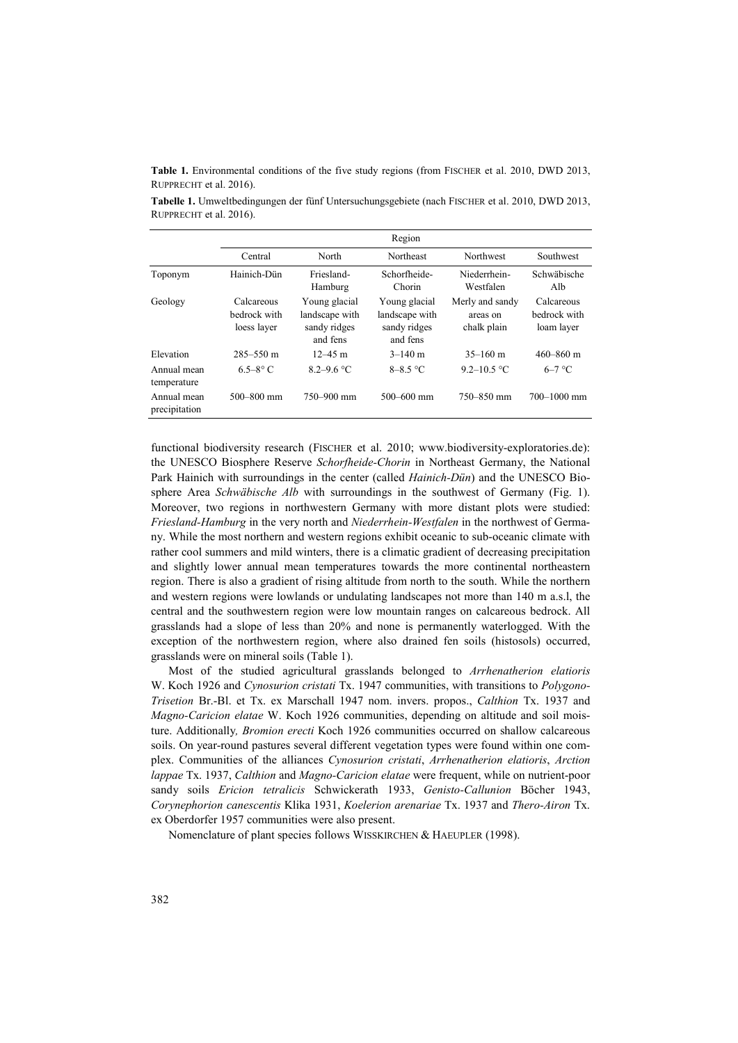**Table 1.** Environmental conditions of the five study regions (from FISCHER et al. 2010, DWD 2013, RUPPRECHT et al. 2016).

**Tabelle 1.** Umweltbedingungen der fünf Untersuchungsgebiete (nach FISCHER et al. 2010, DWD 2013, RUPPRECHT et al. 2016).

|                              | Region                                    |                                                             |                                                             |                                            |                                          |  |  |
|------------------------------|-------------------------------------------|-------------------------------------------------------------|-------------------------------------------------------------|--------------------------------------------|------------------------------------------|--|--|
|                              | Central                                   | North                                                       | Northeast                                                   | Northwest                                  | Southwest                                |  |  |
| Toponym                      | Hainich-Dün                               | Friesland-<br>Hamburg                                       | Schorfheide-<br>Chorin                                      | Niederrhein-<br>Westfalen                  | Schwäbische<br>Alb                       |  |  |
| Geology                      | Calcareous<br>bedrock with<br>loess layer | Young glacial<br>landscape with<br>sandy ridges<br>and fens | Young glacial<br>landscape with<br>sandy ridges<br>and fens | Merly and sandy<br>areas on<br>chalk plain | Calcareous<br>bedrock with<br>loam layer |  |  |
| Elevation                    | $285 - 550$ m                             | $12 - 45$ m                                                 | $3-140$ m                                                   | $35-160$ m                                 | $460 - 860$ m                            |  |  |
| Annual mean<br>temperature   | $6.5 - 8^\circ$ C                         | $8.2 - 9.6$ °C                                              | $8-8.5$ °C                                                  | 9.2–10.5 °C                                | $6-7$ °C                                 |  |  |
| Annual mean<br>precipitation | $500 - 800$ mm                            | 750-900 mm                                                  | $500 - 600$ mm                                              | $750 - 850$ mm                             | $700 - 1000$ mm                          |  |  |

functional biodiversity research (FISCHER et al. 2010; www.biodiversity-exploratories.de): the UNESCO Biosphere Reserve *Schorfheide-Chorin* in Northeast Germany, the National Park Hainich with surroundings in the center (called *Hainich-Dün*) and the UNESCO Biosphere Area *Schwäbische Alb* with surroundings in the southwest of Germany (Fig. 1). Moreover, two regions in northwestern Germany with more distant plots were studied: *Friesland-Hamburg* in the very north and *Niederrhein-Westfalen* in the northwest of Germany. While the most northern and western regions exhibit oceanic to sub-oceanic climate with rather cool summers and mild winters, there is a climatic gradient of decreasing precipitation and slightly lower annual mean temperatures towards the more continental northeastern region. There is also a gradient of rising altitude from north to the south. While the northern and western regions were lowlands or undulating landscapes not more than 140 m a.s.l, the central and the southwestern region were low mountain ranges on calcareous bedrock. All grasslands had a slope of less than 20% and none is permanently waterlogged. With the exception of the northwestern region, where also drained fen soils (histosols) occurred, grasslands were on mineral soils (Table 1).

Most of the studied agricultural grasslands belonged to *Arrhenatherion elatioris* W. Koch 1926 and *Cynosurion cristati* Tx. 1947 communities, with transitions to *Polygono-Trisetion* Br.-Bl. et Tx. ex Marschall 1947 nom. invers. propos., *Calthion* Tx. 1937 and *Magno-Caricion elatae* W. Koch 1926 communities, depending on altitude and soil moisture. Additionally*, Bromion erecti* Koch 1926 communities occurred on shallow calcareous soils. On year-round pastures several different vegetation types were found within one complex. Communities of the alliances *Cynosurion cristati*, *Arrhenatherion elatioris*, *Arction lappae* Tx. 1937, *Calthion* and *Magno-Caricion elatae* were frequent, while on nutrient-poor sandy soils *Ericion tetralicis* Schwickerath 1933, *Genisto-Callunion* Böcher 1943, *Corynephorion canescentis* Klika 1931, *Koelerion arenariae* Tx. 1937 and *Thero-Airon* Tx. ex Oberdorfer 1957 communities were also present.

Nomenclature of plant species follows WISSKIRCHEN & HAEUPLER (1998).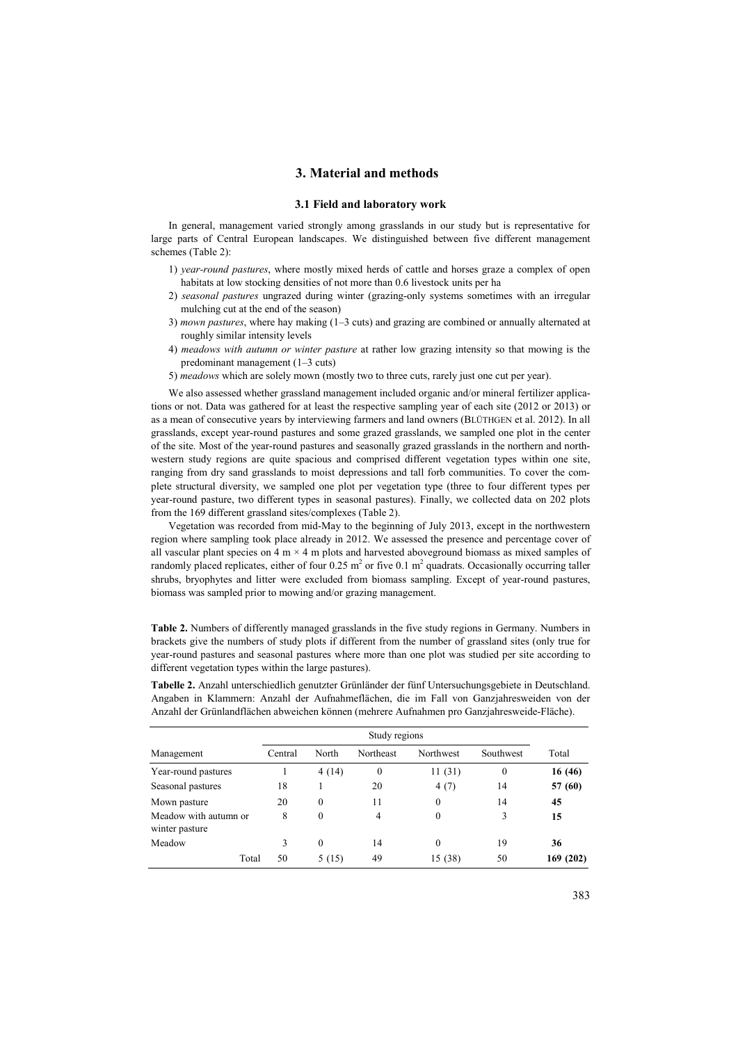## **3. Material and methods**

## **3.1 Field and laboratory work**

In general, management varied strongly among grasslands in our study but is representative for large parts of Central European landscapes. We distinguished between five different management schemes (Table 2):

- 1) *year-round pastures*, where mostly mixed herds of cattle and horses graze a complex of open habitats at low stocking densities of not more than 0.6 livestock units per ha
- 2) *seasonal pastures* ungrazed during winter (grazing-only systems sometimes with an irregular mulching cut at the end of the season)
- 3) *mown pastures*, where hay making (1–3 cuts) and grazing are combined or annually alternated at roughly similar intensity levels
- 4) *meadows with autumn or winter pasture* at rather low grazing intensity so that mowing is the predominant management (1–3 cuts)
- 5) *meadows* which are solely mown (mostly two to three cuts, rarely just one cut per year).

We also assessed whether grassland management included organic and/or mineral fertilizer applications or not. Data was gathered for at least the respective sampling year of each site (2012 or 2013) or as a mean of consecutive years by interviewing farmers and land owners (BLÜTHGEN et al. 2012). In all grasslands, except year-round pastures and some grazed grasslands, we sampled one plot in the center of the site. Most of the year-round pastures and seasonally grazed grasslands in the northern and northwestern study regions are quite spacious and comprised different vegetation types within one site, ranging from dry sand grasslands to moist depressions and tall forb communities. To cover the complete structural diversity, we sampled one plot per vegetation type (three to four different types per year-round pasture, two different types in seasonal pastures). Finally, we collected data on 202 plots from the 169 different grassland sites/complexes (Table 2).

Vegetation was recorded from mid-May to the beginning of July 2013, except in the northwestern region where sampling took place already in 2012. We assessed the presence and percentage cover of all vascular plant species on 4 m  $\times$  4 m plots and harvested aboveground biomass as mixed samples of randomly placed replicates, either of four  $0.25 \text{ m}^2$  or five 0.1 m<sup>2</sup> quadrats. Occasionally occurring taller shrubs, bryophytes and litter were excluded from biomass sampling. Except of year-round pastures, biomass was sampled prior to mowing and/or grazing management.

**Table 2.** Numbers of differently managed grasslands in the five study regions in Germany. Numbers in brackets give the numbers of study plots if different from the number of grassland sites (only true for year-round pastures and seasonal pastures where more than one plot was studied per site according to different vegetation types within the large pastures).

**Tabelle 2.** Anzahl unterschiedlich genutzter Grünländer der fünf Untersuchungsgebiete in Deutschland. Angaben in Klammern: Anzahl der Aufnahmeflächen, die im Fall von Ganzjahresweiden von der Anzahl der Grünlandflächen abweichen können (mehrere Aufnahmen pro Ganzjahresweide-Fläche).

|                                         | Study regions |          |              |           |              |           |  |
|-----------------------------------------|---------------|----------|--------------|-----------|--------------|-----------|--|
| Management                              | Central       | North    | Northeast    | Northwest | Southwest    | Total     |  |
| Year-round pastures                     |               | 4(14)    | $\mathbf{0}$ | 11(31)    | $\mathbf{0}$ | 16 (46)   |  |
| Seasonal pastures                       | 18            |          | 20           | 4(7)      | 14           | 57 (60)   |  |
| Mown pasture                            | 20            | $\Omega$ | 11           | $\theta$  | 14           | 45        |  |
| Meadow with autumn or<br>winter pasture | 8             | $\Omega$ | 4            | $\theta$  | 3            | 15        |  |
| Meadow                                  | 3             | $\Omega$ | 14           | $\theta$  | 19           | 36        |  |
| Total                                   | 50            | 5 (15)   | 49           | 15 (38)   | 50           | 169 (202) |  |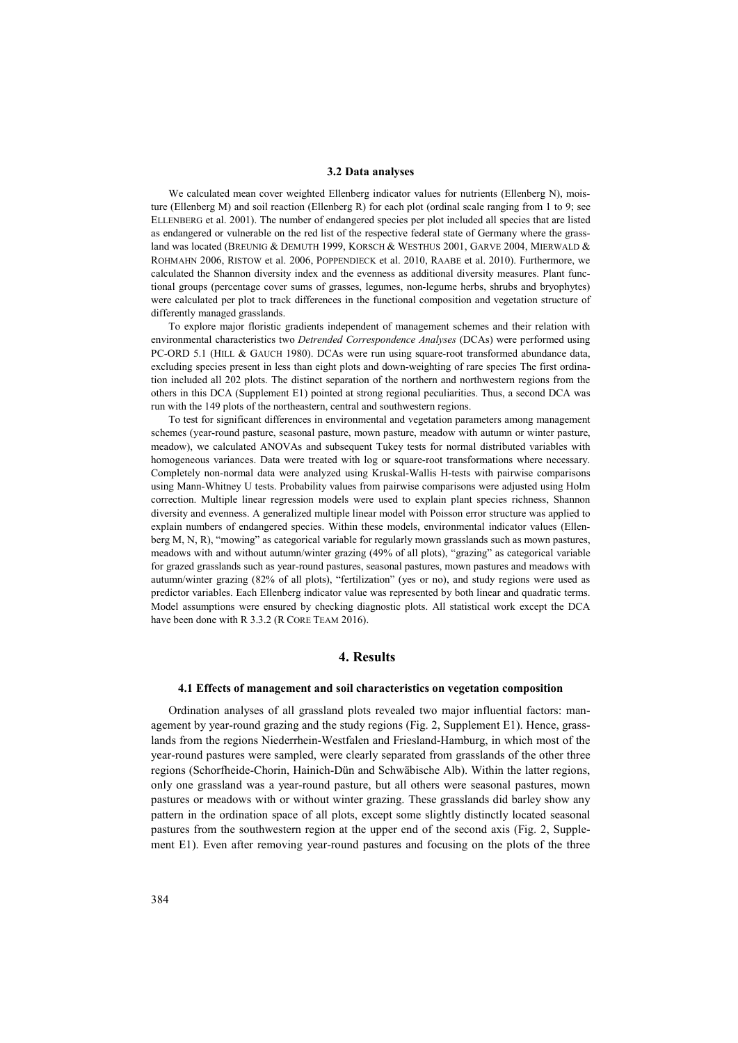#### **3.2 Data analyses**

We calculated mean cover weighted Ellenberg indicator values for nutrients (Ellenberg N), moisture (Ellenberg M) and soil reaction (Ellenberg R) for each plot (ordinal scale ranging from 1 to 9; see ELLENBERG et al. 2001). The number of endangered species per plot included all species that are listed as endangered or vulnerable on the red list of the respective federal state of Germany where the grassland was located (BREUNIG & DEMUTH 1999, KORSCH & WESTHUS 2001, GARVE 2004, MIERWALD & ROHMAHN 2006, RISTOW et al. 2006, POPPENDIECK et al. 2010, RAABE et al. 2010). Furthermore, we calculated the Shannon diversity index and the evenness as additional diversity measures. Plant functional groups (percentage cover sums of grasses, legumes, non-legume herbs, shrubs and bryophytes) were calculated per plot to track differences in the functional composition and vegetation structure of differently managed grasslands.

To explore major floristic gradients independent of management schemes and their relation with environmental characteristics two *Detrended Correspondence Analyses* (DCAs) were performed using PC-ORD 5.1 (HILL & GAUCH 1980). DCAs were run using square-root transformed abundance data, excluding species present in less than eight plots and down-weighting of rare species The first ordination included all 202 plots. The distinct separation of the northern and northwestern regions from the others in this DCA (Supplement E1) pointed at strong regional peculiarities. Thus, a second DCA was run with the 149 plots of the northeastern, central and southwestern regions.

To test for significant differences in environmental and vegetation parameters among management schemes (year-round pasture, seasonal pasture, mown pasture, meadow with autumn or winter pasture, meadow), we calculated ANOVAs and subsequent Tukey tests for normal distributed variables with homogeneous variances. Data were treated with log or square-root transformations where necessary. Completely non-normal data were analyzed using Kruskal-Wallis H-tests with pairwise comparisons using Mann-Whitney U tests. Probability values from pairwise comparisons were adjusted using Holm correction. Multiple linear regression models were used to explain plant species richness, Shannon diversity and evenness. A generalized multiple linear model with Poisson error structure was applied to explain numbers of endangered species. Within these models, environmental indicator values (Ellenberg M, N, R), "mowing" as categorical variable for regularly mown grasslands such as mown pastures, meadows with and without autumn/winter grazing (49% of all plots), "grazing" as categorical variable for grazed grasslands such as year-round pastures, seasonal pastures, mown pastures and meadows with autumn/winter grazing (82% of all plots), "fertilization" (yes or no), and study regions were used as predictor variables. Each Ellenberg indicator value was represented by both linear and quadratic terms. Model assumptions were ensured by checking diagnostic plots. All statistical work except the DCA have been done with R 3.3.2 (R CORE TEAM 2016).

## **4. Results**

#### **4.1 Effects of management and soil characteristics on vegetation composition**

Ordination analyses of all grassland plots revealed two major influential factors: management by year-round grazing and the study regions (Fig. 2, Supplement E1). Hence, grasslands from the regions Niederrhein-Westfalen and Friesland-Hamburg, in which most of the year-round pastures were sampled, were clearly separated from grasslands of the other three regions (Schorfheide-Chorin, Hainich-Dün and Schwäbische Alb). Within the latter regions, only one grassland was a year-round pasture, but all others were seasonal pastures, mown pastures or meadows with or without winter grazing. These grasslands did barley show any pattern in the ordination space of all plots, except some slightly distinctly located seasonal pastures from the southwestern region at the upper end of the second axis (Fig. 2, Supplement E1). Even after removing year-round pastures and focusing on the plots of the three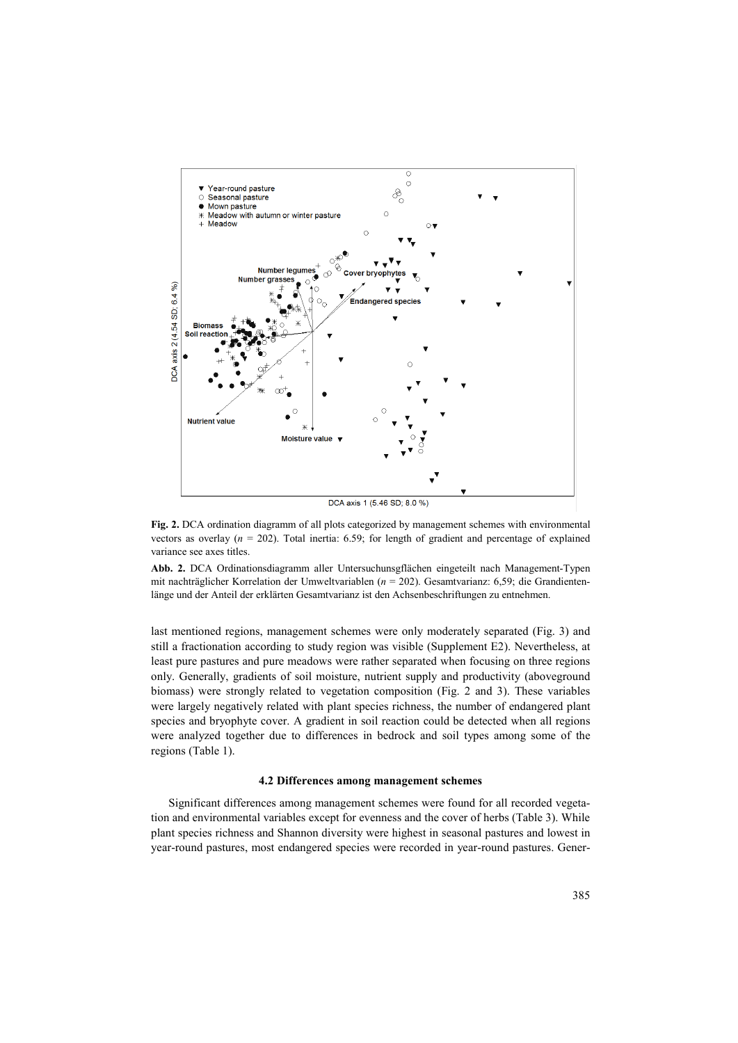

**Fig. 2.** DCA ordination diagramm of all plots categorized by management schemes with environmental vectors as overlay  $(n = 202)$ . Total inertia: 6.59; for length of gradient and percentage of explained variance see axes titles.

**Abb. 2.** DCA Ordinationsdiagramm aller Untersuchunsgflächen eingeteilt nach Management-Typen mit nachträglicher Korrelation der Umweltvariablen (*n* = 202). Gesamtvarianz: 6,59; die Grandientenlänge und der Anteil der erklärten Gesamtvarianz ist den Achsenbeschriftungen zu entnehmen.

last mentioned regions, management schemes were only moderately separated (Fig. 3) and still a fractionation according to study region was visible (Supplement E2). Nevertheless, at least pure pastures and pure meadows were rather separated when focusing on three regions only. Generally, gradients of soil moisture, nutrient supply and productivity (aboveground biomass) were strongly related to vegetation composition (Fig. 2 and 3). These variables were largely negatively related with plant species richness, the number of endangered plant species and bryophyte cover. A gradient in soil reaction could be detected when all regions were analyzed together due to differences in bedrock and soil types among some of the regions (Table 1).

#### **4.2 Differences among management schemes**

Significant differences among management schemes were found for all recorded vegetation and environmental variables except for evenness and the cover of herbs (Table 3). While plant species richness and Shannon diversity were highest in seasonal pastures and lowest in year-round pastures, most endangered species were recorded in year-round pastures. Gener-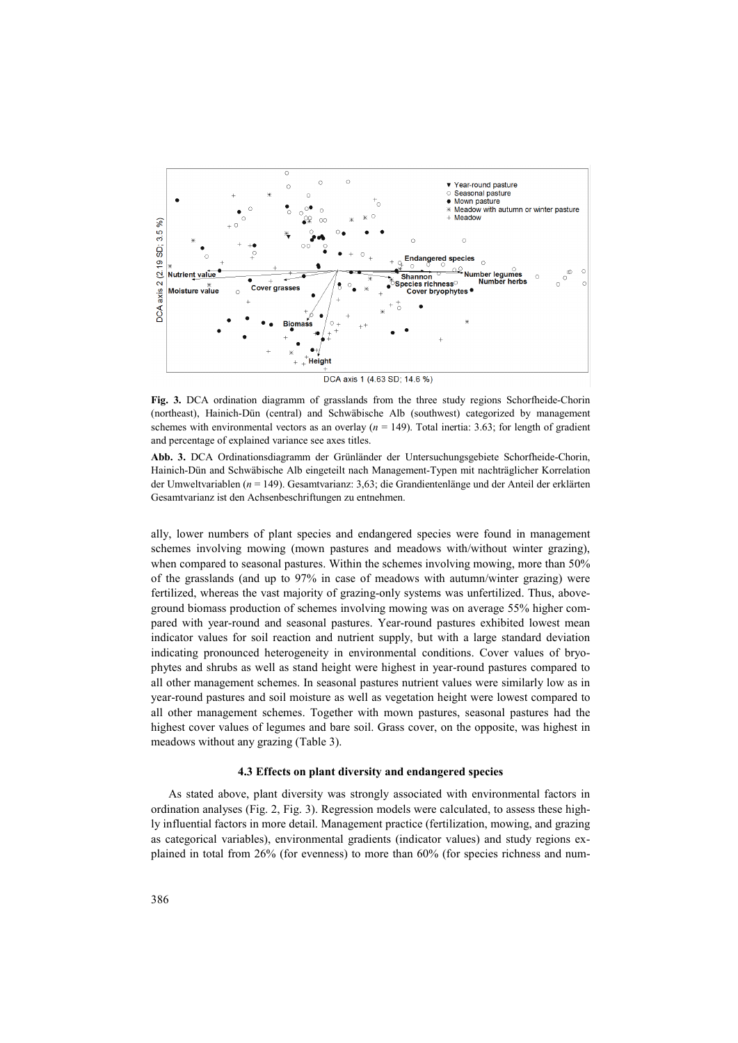

**Fig. 3.** DCA ordination diagramm of grasslands from the three study regions Schorfheide-Chorin (northeast), Hainich-Dün (central) and Schwäbische Alb (southwest) categorized by management schemes with environmental vectors as an overlay  $(n = 149)$ . Total inertia: 3.63; for length of gradient and percentage of explained variance see axes titles.

**Abb. 3.** DCA Ordinationsdiagramm der Grünländer der Untersuchungsgebiete Schorfheide-Chorin, Hainich-Dün and Schwäbische Alb eingeteilt nach Management-Typen mit nachträglicher Korrelation der Umweltvariablen (*n* = 149). Gesamtvarianz: 3,63; die Grandientenlänge und der Anteil der erklärten Gesamtvarianz ist den Achsenbeschriftungen zu entnehmen.

ally, lower numbers of plant species and endangered species were found in management schemes involving mowing (mown pastures and meadows with/without winter grazing), when compared to seasonal pastures. Within the schemes involving mowing, more than 50% of the grasslands (and up to 97% in case of meadows with autumn/winter grazing) were fertilized, whereas the vast majority of grazing-only systems was unfertilized. Thus, aboveground biomass production of schemes involving mowing was on average 55% higher compared with year-round and seasonal pastures. Year-round pastures exhibited lowest mean indicator values for soil reaction and nutrient supply, but with a large standard deviation indicating pronounced heterogeneity in environmental conditions. Cover values of bryophytes and shrubs as well as stand height were highest in year-round pastures compared to all other management schemes. In seasonal pastures nutrient values were similarly low as in year-round pastures and soil moisture as well as vegetation height were lowest compared to all other management schemes. Together with mown pastures, seasonal pastures had the highest cover values of legumes and bare soil. Grass cover, on the opposite, was highest in meadows without any grazing (Table 3).

#### **4.3 Effects on plant diversity and endangered species**

As stated above, plant diversity was strongly associated with environmental factors in ordination analyses (Fig. 2, Fig. 3). Regression models were calculated, to assess these highly influential factors in more detail. Management practice (fertilization, mowing, and grazing as categorical variables), environmental gradients (indicator values) and study regions explained in total from 26% (for evenness) to more than 60% (for species richness and num-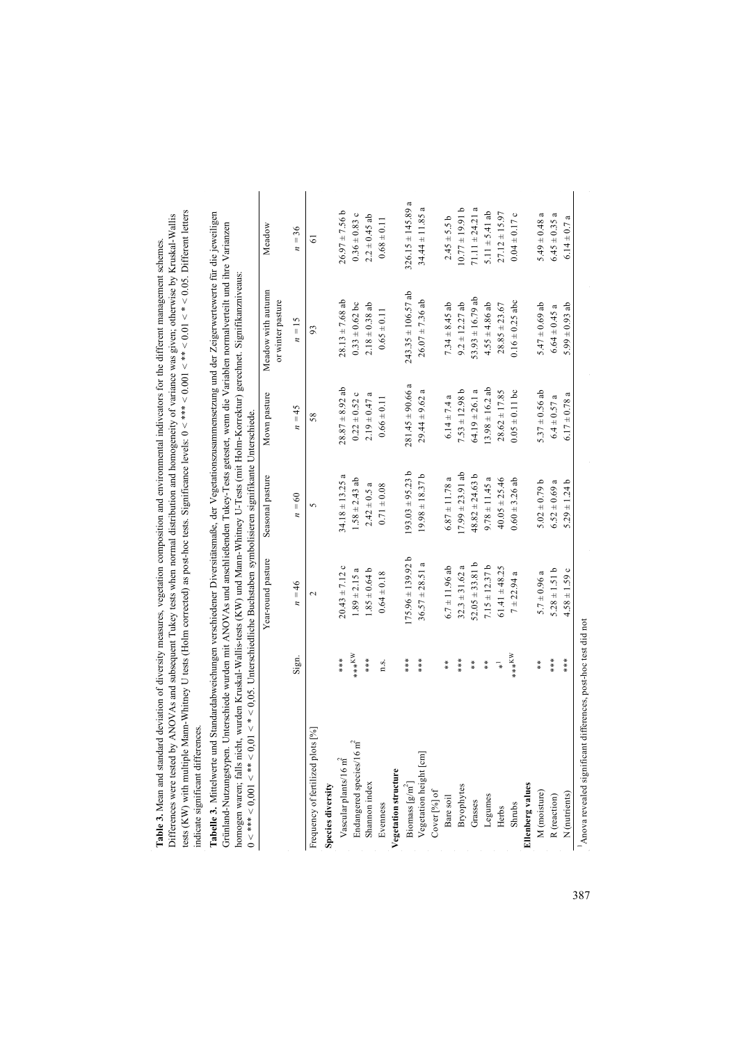tests (KW) with multiple Mann-Whitney U tests (Holm corrected) as post-hoc tests. Significance levels: 0 < \*\*\* < 0.001 < \*\* < 0.01 < \* < 0.05. Different letters Differences were tested by ANOVAs and subsequent Tukey tests when normal distribution and homogeneity of variance was given; otherwise by Kruskal-Wallis Table 3. Mean and standard deviation of diversity measures, vegetation composition and environmental indiveators for the different management schemes. **Table 3.** Mean and standard deviation of diversity measures, vegetation composition and environmental indivcators for the different management schemes. indicate significant differences.

Differences were tested by ANOVAs and subsequent Tukey tests when normal distribution and homogeneity of variance was given; otherwise by Kruskal-Wallis tests (KW) with multiple Mann-Whitney U tests (Holm corrected) as po **Tabelle 3.** Mittelwerte und Standardabweichungen verschiedener Diversitätsmaße, der Vegetationszusammensetzung und der Zeigerwertewerte für die jeweiligen Grünland-Nutzungstypen. Unterschiede wurden mit ANOVAs und anschließenden Tukey-Tests getestet, wenn die Variablen normalverteilt und ihre Varianzen homogen waren; falls nicht, wurden Kruskal-Wallis-tests (KW) und Mann-Whitney U-Tests (mit Holm-Korrektur) gerechnet. Signifikanzniveaus: 0 < \*\*\* < 0,001 < \*\* < 0,01 < \* < 0,05. Unterschiedliche Buchstaben symbolisieren signifikante Unterschiede.

|                                                                                                            |                 | Year-round pasture      | Seasonal pasture     | Mown pasture         | Meadow with autumn<br>or winter pasture | Meadow                |
|------------------------------------------------------------------------------------------------------------|-----------------|-------------------------|----------------------|----------------------|-----------------------------------------|-----------------------|
|                                                                                                            | Sign.           | $n = 46$                | $n = 60$             | $n = 45$             | $n = 15$                                | $n = 36$              |
| Frequency of fertilized plots [%]                                                                          |                 | $\overline{\mathbf{C}}$ |                      | 58                   | 93                                      | $\overline{6}$        |
| Species diversity                                                                                          |                 |                         |                      |                      |                                         |                       |
| Vascular plants/16 $m^2$                                                                                   | ***             | $20.43 \pm 7.12$ c      | $34.18 \pm 13.25$ a  | $28.87 \pm 8.92$ ab  | $28.13 \pm 7.68$ ab                     | $26.97 \pm 7.56$ b    |
| $\tilde{H}$<br>Endangered species/16                                                                       | $****^{\times}$ | $1.89 \pm 2.15 a$       | $1.58 \pm 2.43$ ab   | $0.22 \pm 0.52$ c    | $0.33 \pm 0.62$ bc                      | $0.36\pm0.83$ c       |
| Shannon index                                                                                              | ****            | $1.85 \pm 0.64$ b       | $2.42 \pm 0.5$ a     | $2.19 \pm 0.47$ a    | $2.18 \pm 0.38$ ab                      | $2.2 \pm 0.45$ ab     |
| Evenness                                                                                                   | n.s.            | $0.64 \pm 0.18$         | $0.71 \pm 0.08$      | $0.66 \pm 0.11$      | $0.65 \pm 0.11$                         | $0.68 \pm 0.11$       |
| /egetation structure                                                                                       |                 |                         |                      |                      |                                         |                       |
|                                                                                                            | ****            | $175.96 \pm 139.92 b$   | $193.03 + 95.23 b$   | $281.45 \pm 90.66$ a | $243.35 \pm 106.57$ ab                  | $326.15 \pm 145.89$ a |
| $\begin{array}{l} \hbox{Biomass}\,[\mathrm{g/m}^2] \\ \hbox{Vegetation height}\,[\mathrm{cm}] \end{array}$ | ****            | $36.57 \pm 28.51$ a     | $19.98 \pm 18.37$ b  | $29.44 \pm 9.62$ a   | $26.07 \pm 7.36$ ab                     | $34.44 \pm 11.85$ a   |
| Cover [%] of                                                                                               |                 |                         |                      |                      |                                         |                       |
| Bare soil                                                                                                  | **              | $6.7 \pm 11.96$ ab      | $6.87 \pm 11.78a$    | $6.14 \pm 7.4$ a     | $7.34 \pm 8.45$ ab                      | $2.45 + 5.5 b$        |
| Bryophytes                                                                                                 | ****            | $32.3 \pm 31.62$ a      | $17.99 \pm 23.91$ ab | $7.53 \pm 12.98 b$   | $9.2 \pm 12.27$ ab                      | $16.61 \pm 77.01$     |
| Grasses                                                                                                    | **              | $52.05 \pm 33.81$ b     | $48.82 \pm 24.63$ b  | $64.19 \pm 26.1$ a   | $53.93 \pm 16.79$ ab                    | $71.11 \pm 24.21$ a   |
| Legumes                                                                                                    | **              | $7.15 \pm 12.37$ b      | $9.78 \pm 11.45$ a   | $13.98 \pm 16.2$ ab  | $4.55 \pm 4.86$ ab                      | $5.11 \pm 5.41$ ab    |
| Herbs                                                                                                      | 74              | $61.41 + 48.25$         | $40.05 \pm 25.46$    | $28.62 \pm 17.85$    | $28.85 \pm 23.67$                       | $27.12 \pm 15.97$     |
| Shrubs                                                                                                     | $X^*$           | $7 + 22.94$ a           | $0.60 \pm 3.26$ ab   | $0.05 \pm 0.11$ bc   | $0.16 \pm 0.25$ abc                     | $0.04 \pm 0.17$ c     |
| llenberg values                                                                                            |                 |                         |                      |                      |                                         |                       |
| M (moisture)                                                                                               | **              | $5.7 \pm 0.96$ a        | $5.02 \pm 0.79$ b    | $5.37 \pm 0.56$ ab   | $5.47 \pm 0.69$ ab                      | $5.49 \pm 0.48$ a     |
| ${\bf R}$ (reaction)                                                                                       | ***             | $5.28 \pm 1.51 b$       | $6.52 \pm 0.69$ a    | $6.4 \pm 0.57$ a     | $6.64 \pm 0.45$ a                       | $6.45 \pm 0.35$ a     |
| N (nutrients)                                                                                              | ***             | $4.58 \pm 1.59$ c       | $5.29 \pm 1.24$ b    | $6.17 \pm 0.78$ a    | 5.99 $\pm$ 0.93 ab                      | $6.14 \pm 0.7$ a      |

Anova revealed significant differences, post-hoc test did not 1Anova revealed significant differences, post-hoc test did not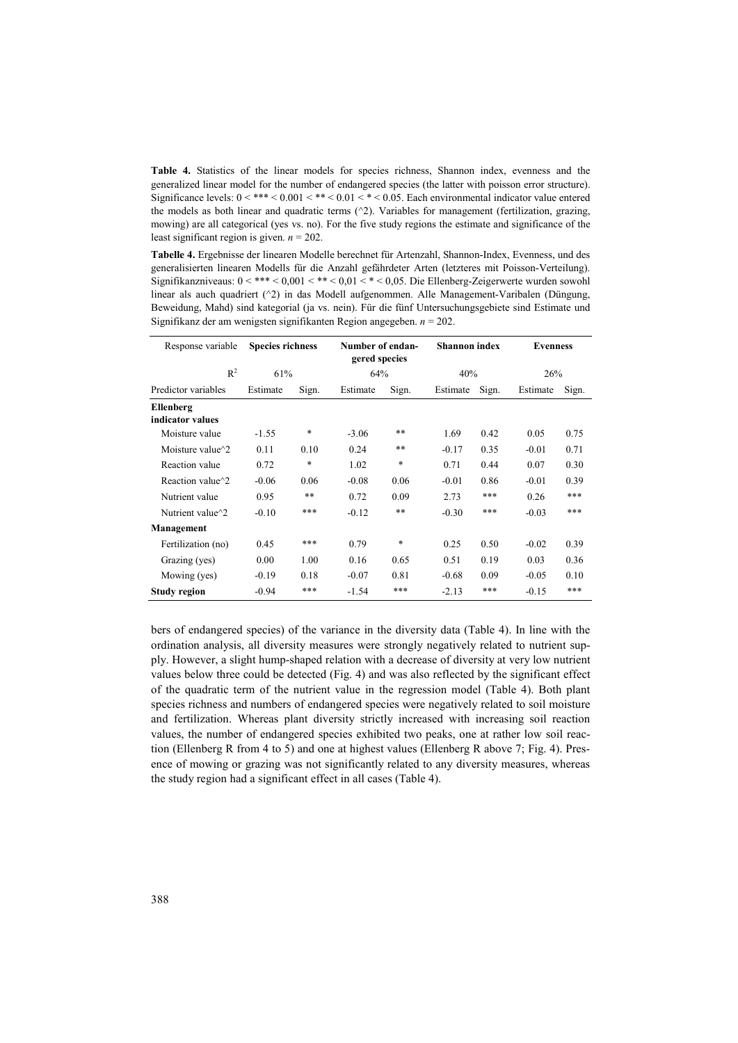**Table 4.** Statistics of the linear models for species richness, Shannon index, evenness and the generalized linear model for the number of endangered species (the latter with poisson error structure). Significance levels: 0 < \*\*\* < 0.001 < \*\* < 0.01 < \* < 0.05. Each environmental indicator value entered the models as both linear and quadratic terms (^2). Variables for management (fertilization, grazing, mowing) are all categorical (yes vs. no). For the five study regions the estimate and significance of the least significant region is given. *n* = 202.

**Tabelle 4.** Ergebnisse der linearen Modelle berechnet für Artenzahl, Shannon-Index, Evenness, und des generalisierten linearen Modells für die Anzahl gefährdeter Arten (letzteres mit Poisson-Verteilung). Signifikanzniveaus:  $0 <$ \*\*\*  $< 0.001 <$ \*\*  $< 0.01 <$ \*  $< 0.05$ . Die Ellenberg-Zeigerwerte wurden sowohl linear als auch quadriert (^2) in das Modell aufgenommen. Alle Management-Varibalen (Düngung, Beweidung, Mahd) sind kategorial (ja vs. nein). Für die fünf Untersuchungsgebiete sind Estimate und Signifikanz der am wenigsten signifikanten Region angegeben. *n* = 202.

| Response variable                            | <b>Species richness</b> |       | Number of endan-<br>gered species |       | <b>Shannon</b> index |       | <b>Evenness</b> |       |
|----------------------------------------------|-------------------------|-------|-----------------------------------|-------|----------------------|-------|-----------------|-------|
| $R^2$                                        | 61%                     |       | 64%                               |       | 40%                  |       | 26%             |       |
| Predictor variables                          | Estimate                | Sign. | Estimate                          | Sign. | Estimate             | Sign. | Estimate        | Sign. |
| <b>Ellenberg</b><br>indicator values         |                         |       |                                   |       |                      |       |                 |       |
| Moisture value                               | $-1.55$                 | *     | $-3.06$                           | $* *$ | 1.69                 | 0.42  | 0.05            | 0.75  |
| Moisture value $\gamma$ 2                    | 0.11                    | 0.10  | 0.24                              | **    | $-0.17$              | 0.35  | $-0.01$         | 0.71  |
| Reaction value                               | 0.72                    | *     | 1.02                              | *     | 0.71                 | 0.44  | 0.07            | 0.30  |
| Reaction value <sup><math>\sim</math>2</sup> | $-0.06$                 | 0.06  | $-0.08$                           | 0.06  | $-0.01$              | 0.86  | $-0.01$         | 0.39  |
| Nutrient value                               | 0.95                    | $**$  | 0.72                              | 0.09  | 2.73                 | ***   | 0.26            | ***   |
| Nutrient value <sup><math>\sim</math>2</sup> | $-0.10$                 | ***   | $-0.12$                           | $***$ | $-0.30$              | ***   | $-0.03$         | ***   |
| Management                                   |                         |       |                                   |       |                      |       |                 |       |
| Fertilization (no)                           | 0.45                    | ***   | 0.79                              | *     | 0.25                 | 0.50  | $-0.02$         | 0.39  |
| Grazing (yes)                                | 0.00                    | 1.00  | 0.16                              | 0.65  | 0.51                 | 0.19  | 0.03            | 0.36  |
| Mowing (yes)                                 | $-0.19$                 | 0.18  | $-0.07$                           | 0.81  | $-0.68$              | 0.09  | $-0.05$         | 0.10  |
| Study region                                 | $-0.94$                 | ***   | $-1.54$                           | ***   | $-2.13$              | ***   | $-0.15$         | ***   |

bers of endangered species) of the variance in the diversity data (Table 4). In line with the ordination analysis, all diversity measures were strongly negatively related to nutrient supply. However, a slight hump-shaped relation with a decrease of diversity at very low nutrient values below three could be detected (Fig. 4) and was also reflected by the significant effect of the quadratic term of the nutrient value in the regression model (Table 4). Both plant species richness and numbers of endangered species were negatively related to soil moisture and fertilization. Whereas plant diversity strictly increased with increasing soil reaction values, the number of endangered species exhibited two peaks, one at rather low soil reaction (Ellenberg R from 4 to 5) and one at highest values (Ellenberg R above 7; Fig. 4). Presence of mowing or grazing was not significantly related to any diversity measures, whereas the study region had a significant effect in all cases (Table 4).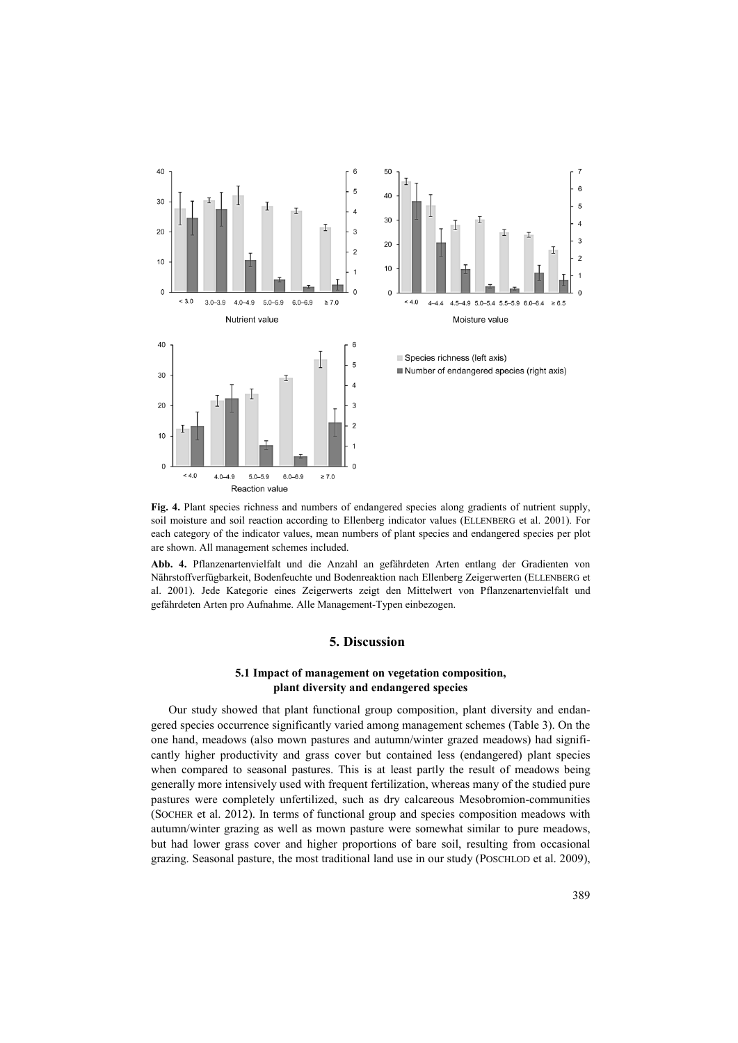





**Fig. 4.** Plant species richness and numbers of endangered species along gradients of nutrient supply, soil moisture and soil reaction according to Ellenberg indicator values (ELLENBERG et al. 2001). For each category of the indicator values, mean numbers of plant species and endangered species per plot are shown. All management schemes included.

**Abb. 4.** Pflanzenartenvielfalt und die Anzahl an gefährdeten Arten entlang der Gradienten von Nährstoffverfügbarkeit, Bodenfeuchte und Bodenreaktion nach Ellenberg Zeigerwerten (ELLENBERG et al. 2001). Jede Kategorie eines Zeigerwerts zeigt den Mittelwert von Pflanzenartenvielfalt und gefährdeten Arten pro Aufnahme. Alle Management-Typen einbezogen.

### **5. Discussion**

## **5.1 Impact of management on vegetation composition, plant diversity and endangered species**

Our study showed that plant functional group composition, plant diversity and endangered species occurrence significantly varied among management schemes (Table 3). On the one hand, meadows (also mown pastures and autumn/winter grazed meadows) had significantly higher productivity and grass cover but contained less (endangered) plant species when compared to seasonal pastures. This is at least partly the result of meadows being generally more intensively used with frequent fertilization, whereas many of the studied pure pastures were completely unfertilized, such as dry calcareous Mesobromion-communities (SOCHER et al. 2012). In terms of functional group and species composition meadows with autumn/winter grazing as well as mown pasture were somewhat similar to pure meadows, but had lower grass cover and higher proportions of bare soil, resulting from occasional grazing. Seasonal pasture, the most traditional land use in our study (POSCHLOD et al. 2009),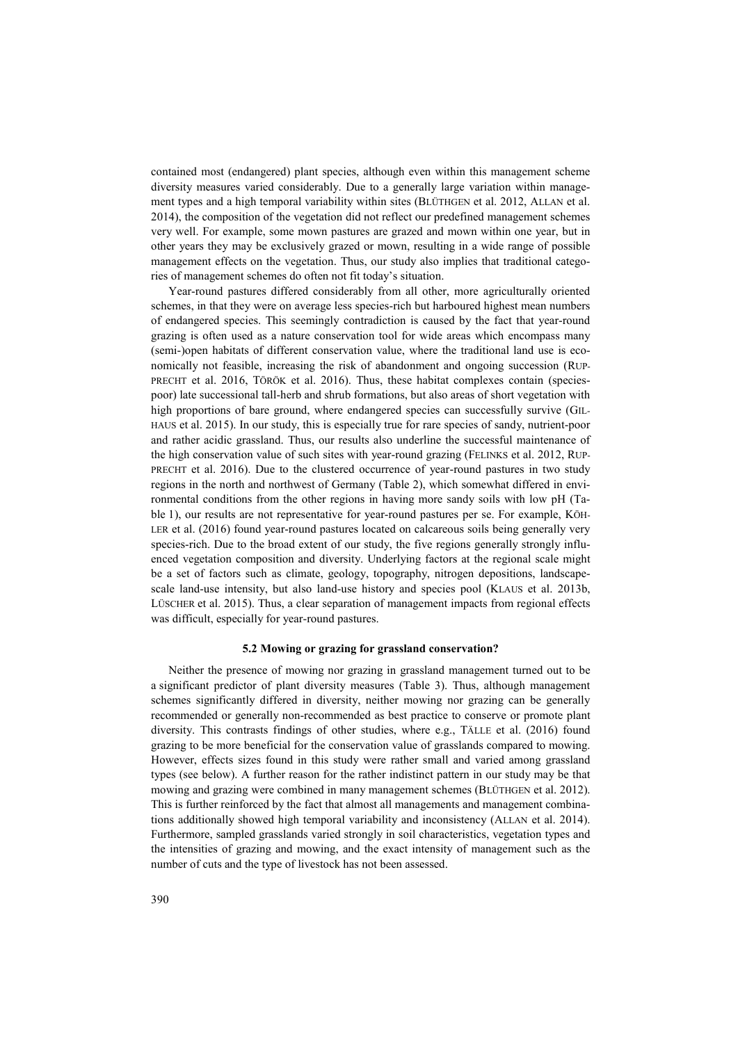contained most (endangered) plant species, although even within this management scheme diversity measures varied considerably. Due to a generally large variation within management types and a high temporal variability within sites (BLÜTHGEN et al. 2012, ALLAN et al. 2014), the composition of the vegetation did not reflect our predefined management schemes very well. For example, some mown pastures are grazed and mown within one year, but in other years they may be exclusively grazed or mown, resulting in a wide range of possible management effects on the vegetation. Thus, our study also implies that traditional categories of management schemes do often not fit today's situation.

Year-round pastures differed considerably from all other, more agriculturally oriented schemes, in that they were on average less species-rich but harboured highest mean numbers of endangered species. This seemingly contradiction is caused by the fact that year-round grazing is often used as a nature conservation tool for wide areas which encompass many (semi-)open habitats of different conservation value, where the traditional land use is economically not feasible, increasing the risk of abandonment and ongoing succession (RUP-PRECHT et al. 2016, TÖRÖK et al. 2016). Thus, these habitat complexes contain (speciespoor) late successional tall-herb and shrub formations, but also areas of short vegetation with high proportions of bare ground, where endangered species can successfully survive (GIL-HAUS et al. 2015). In our study, this is especially true for rare species of sandy, nutrient-poor and rather acidic grassland. Thus, our results also underline the successful maintenance of the high conservation value of such sites with year-round grazing (FELINKS et al. 2012, RUP-PRECHT et al. 2016). Due to the clustered occurrence of year-round pastures in two study regions in the north and northwest of Germany (Table 2), which somewhat differed in environmental conditions from the other regions in having more sandy soils with low pH (Table 1), our results are not representative for year-round pastures per se. For example, KÖH-LER et al. (2016) found year-round pastures located on calcareous soils being generally very species-rich. Due to the broad extent of our study, the five regions generally strongly influenced vegetation composition and diversity. Underlying factors at the regional scale might be a set of factors such as climate, geology, topography, nitrogen depositions, landscapescale land-use intensity, but also land-use history and species pool (KLAUS et al. 2013b, LÜSCHER et al. 2015). Thus, a clear separation of management impacts from regional effects was difficult, especially for year-round pastures.

#### **5.2 Mowing or grazing for grassland conservation?**

Neither the presence of mowing nor grazing in grassland management turned out to be a significant predictor of plant diversity measures (Table 3). Thus, although management schemes significantly differed in diversity, neither mowing nor grazing can be generally recommended or generally non-recommended as best practice to conserve or promote plant diversity. This contrasts findings of other studies, where e.g., TÄLLE et al. (2016) found grazing to be more beneficial for the conservation value of grasslands compared to mowing. However, effects sizes found in this study were rather small and varied among grassland types (see below). A further reason for the rather indistinct pattern in our study may be that mowing and grazing were combined in many management schemes (BLÜTHGEN et al. 2012). This is further reinforced by the fact that almost all managements and management combinations additionally showed high temporal variability and inconsistency (ALLAN et al. 2014). Furthermore, sampled grasslands varied strongly in soil characteristics, vegetation types and the intensities of grazing and mowing, and the exact intensity of management such as the number of cuts and the type of livestock has not been assessed.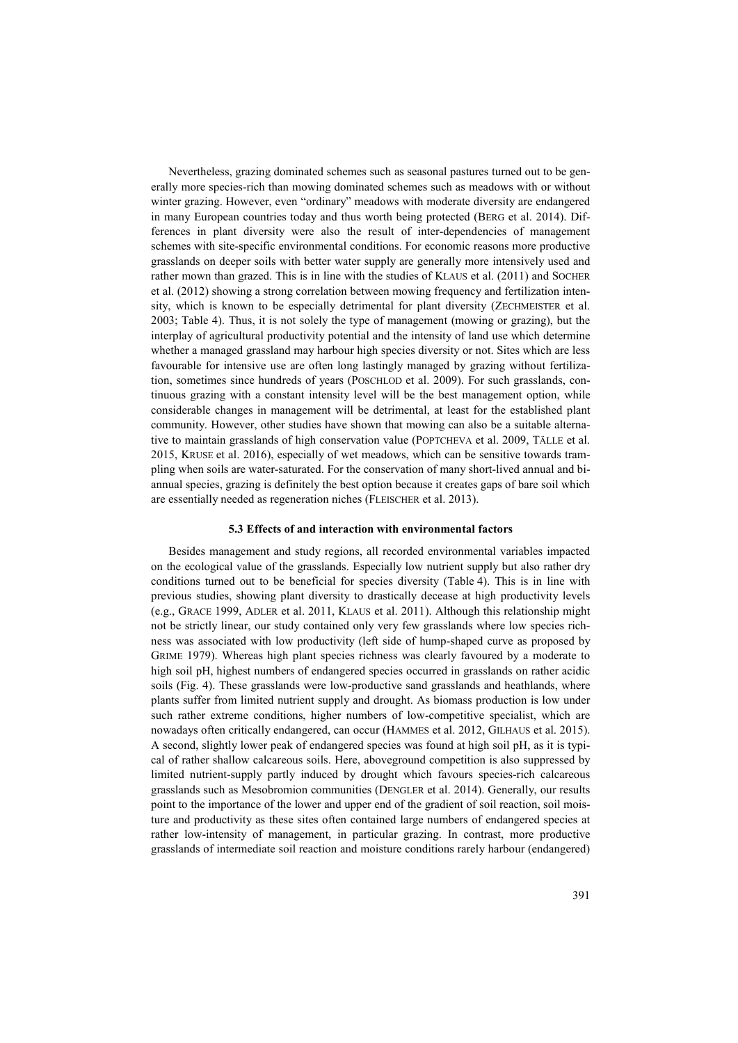Nevertheless, grazing dominated schemes such as seasonal pastures turned out to be generally more species-rich than mowing dominated schemes such as meadows with or without winter grazing. However, even "ordinary" meadows with moderate diversity are endangered in many European countries today and thus worth being protected (BERG et al. 2014). Differences in plant diversity were also the result of inter-dependencies of management schemes with site-specific environmental conditions. For economic reasons more productive grasslands on deeper soils with better water supply are generally more intensively used and rather mown than grazed. This is in line with the studies of KLAUS et al. (2011) and SOCHER et al. (2012) showing a strong correlation between mowing frequency and fertilization intensity, which is known to be especially detrimental for plant diversity (ZECHMEISTER et al. 2003; Table 4). Thus, it is not solely the type of management (mowing or grazing), but the interplay of agricultural productivity potential and the intensity of land use which determine whether a managed grassland may harbour high species diversity or not. Sites which are less favourable for intensive use are often long lastingly managed by grazing without fertilization, sometimes since hundreds of years (POSCHLOD et al. 2009). For such grasslands, continuous grazing with a constant intensity level will be the best management option, while considerable changes in management will be detrimental, at least for the established plant community. However, other studies have shown that mowing can also be a suitable alternative to maintain grasslands of high conservation value (POPTCHEVA et al. 2009, TÄLLE et al. 2015, KRUSE et al. 2016), especially of wet meadows, which can be sensitive towards trampling when soils are water-saturated. For the conservation of many short-lived annual and biannual species, grazing is definitely the best option because it creates gaps of bare soil which are essentially needed as regeneration niches (FLEISCHER et al. 2013).

#### **5.3 Effects of and interaction with environmental factors**

Besides management and study regions, all recorded environmental variables impacted on the ecological value of the grasslands. Especially low nutrient supply but also rather dry conditions turned out to be beneficial for species diversity (Table 4). This is in line with previous studies, showing plant diversity to drastically decease at high productivity levels (e.g., GRACE 1999, ADLER et al. 2011, KLAUS et al. 2011). Although this relationship might not be strictly linear, our study contained only very few grasslands where low species richness was associated with low productivity (left side of hump-shaped curve as proposed by GRIME 1979). Whereas high plant species richness was clearly favoured by a moderate to high soil pH, highest numbers of endangered species occurred in grasslands on rather acidic soils (Fig. 4). These grasslands were low-productive sand grasslands and heathlands, where plants suffer from limited nutrient supply and drought. As biomass production is low under such rather extreme conditions, higher numbers of low-competitive specialist, which are nowadays often critically endangered, can occur (HAMMES et al. 2012, GILHAUS et al. 2015). A second, slightly lower peak of endangered species was found at high soil pH, as it is typical of rather shallow calcareous soils. Here, aboveground competition is also suppressed by limited nutrient-supply partly induced by drought which favours species-rich calcareous grasslands such as Mesobromion communities (DENGLER et al. 2014). Generally, our results point to the importance of the lower and upper end of the gradient of soil reaction, soil moisture and productivity as these sites often contained large numbers of endangered species at rather low-intensity of management, in particular grazing. In contrast, more productive grasslands of intermediate soil reaction and moisture conditions rarely harbour (endangered)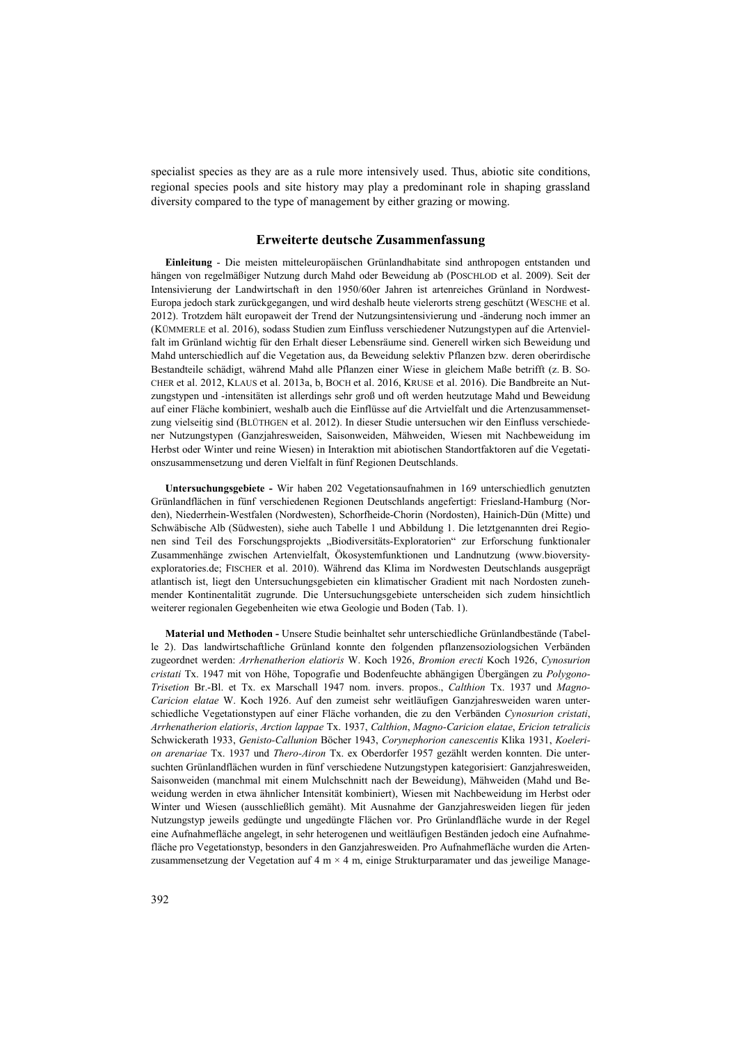specialist species as they are as a rule more intensively used. Thus, abiotic site conditions, regional species pools and site history may play a predominant role in shaping grassland diversity compared to the type of management by either grazing or mowing.

## **Erweiterte deutsche Zusammenfassung**

**Einleitung** - Die meisten mitteleuropäischen Grünlandhabitate sind anthropogen entstanden und hängen von regelmäßiger Nutzung durch Mahd oder Beweidung ab (POSCHLOD et al. 2009). Seit der Intensivierung der Landwirtschaft in den 1950/60er Jahren ist artenreiches Grünland in Nordwest-Europa jedoch stark zurückgegangen, und wird deshalb heute vielerorts streng geschützt (WESCHE et al. 2012). Trotzdem hält europaweit der Trend der Nutzungsintensivierung und -änderung noch immer an (KÜMMERLE et al. 2016), sodass Studien zum Einfluss verschiedener Nutzungstypen auf die Artenvielfalt im Grünland wichtig für den Erhalt dieser Lebensräume sind. Generell wirken sich Beweidung und Mahd unterschiedlich auf die Vegetation aus, da Beweidung selektiv Pflanzen bzw. deren oberirdische Bestandteile schädigt, während Mahd alle Pflanzen einer Wiese in gleichem Maße betrifft (z. B. SO-CHER et al. 2012, KLAUS et al. 2013a, b, BOCH et al. 2016, KRUSE et al. 2016). Die Bandbreite an Nutzungstypen und -intensitäten ist allerdings sehr groß und oft werden heutzutage Mahd und Beweidung auf einer Fläche kombiniert, weshalb auch die Einflüsse auf die Artvielfalt und die Artenzusammensetzung vielseitig sind (BLÜTHGEN et al. 2012). In dieser Studie untersuchen wir den Einfluss verschiedener Nutzungstypen (Ganzjahresweiden, Saisonweiden, Mähweiden, Wiesen mit Nachbeweidung im Herbst oder Winter und reine Wiesen) in Interaktion mit abiotischen Standortfaktoren auf die Vegetationszusammensetzung und deren Vielfalt in fünf Regionen Deutschlands.

**Untersuchungsgebiete -** Wir haben 202 Vegetationsaufnahmen in 169 unterschiedlich genutzten Grünlandflächen in fünf verschiedenen Regionen Deutschlands angefertigt: Friesland-Hamburg (Norden), Niederrhein-Westfalen (Nordwesten), Schorfheide-Chorin (Nordosten), Hainich-Dün (Mitte) und Schwäbische Alb (Südwesten), siehe auch Tabelle 1 und Abbildung 1. Die letztgenannten drei Regionen sind Teil des Forschungsprojekts "Biodiversitäts-Exploratorien" zur Erforschung funktionaler Zusammenhänge zwischen Artenvielfalt, Ökosystemfunktionen und Landnutzung (www.bioversityexploratories.de; FISCHER et al. 2010). Während das Klima im Nordwesten Deutschlands ausgeprägt atlantisch ist, liegt den Untersuchungsgebieten ein klimatischer Gradient mit nach Nordosten zunehmender Kontinentalität zugrunde. Die Untersuchungsgebiete unterscheiden sich zudem hinsichtlich weiterer regionalen Gegebenheiten wie etwa Geologie und Boden (Tab. 1).

**Material und Methoden -** Unsere Studie beinhaltet sehr unterschiedliche Grünlandbestände (Tabelle 2). Das landwirtschaftliche Grünland konnte den folgenden pflanzensoziologsichen Verbänden zugeordnet werden: *Arrhenatherion elatioris* W. Koch 1926, *Bromion erecti* Koch 1926, *Cynosurion cristati* Tx. 1947 mit von Höhe, Topografie und Bodenfeuchte abhängigen Übergängen zu *Polygono-Trisetion* Br.-Bl. et Tx. ex Marschall 1947 nom. invers. propos., *Calthion* Tx. 1937 und *Magno-Caricion elatae* W. Koch 1926. Auf den zumeist sehr weitläufigen Ganzjahresweiden waren unterschiedliche Vegetationstypen auf einer Fläche vorhanden, die zu den Verbänden *Cynosurion cristati*, *Arrhenatherion elatioris*, *Arction lappae* Tx. 1937, *Calthion*, *Magno-Caricion elatae*, *Ericion tetralicis* Schwickerath 1933, *Genisto-Callunion* Böcher 1943, *Corynephorion canescentis* Klika 1931, *Koelerion arenariae* Tx. 1937 und *Thero-Airon* Tx. ex Oberdorfer 1957 gezählt werden konnten. Die untersuchten Grünlandflächen wurden in fünf verschiedene Nutzungstypen kategorisiert: Ganzjahresweiden, Saisonweiden (manchmal mit einem Mulchschnitt nach der Beweidung), Mähweiden (Mahd und Beweidung werden in etwa ähnlicher Intensität kombiniert), Wiesen mit Nachbeweidung im Herbst oder Winter und Wiesen (ausschließlich gemäht). Mit Ausnahme der Ganzjahresweiden liegen für jeden Nutzungstyp jeweils gedüngte und ungedüngte Flächen vor. Pro Grünlandfläche wurde in der Regel eine Aufnahmefläche angelegt, in sehr heterogenen und weitläufigen Beständen jedoch eine Aufnahmefläche pro Vegetationstyp, besonders in den Ganzjahresweiden. Pro Aufnahmefläche wurden die Artenzusammensetzung der Vegetation auf 4 m  $\times$  4 m, einige Strukturparamater und das jeweilige Manage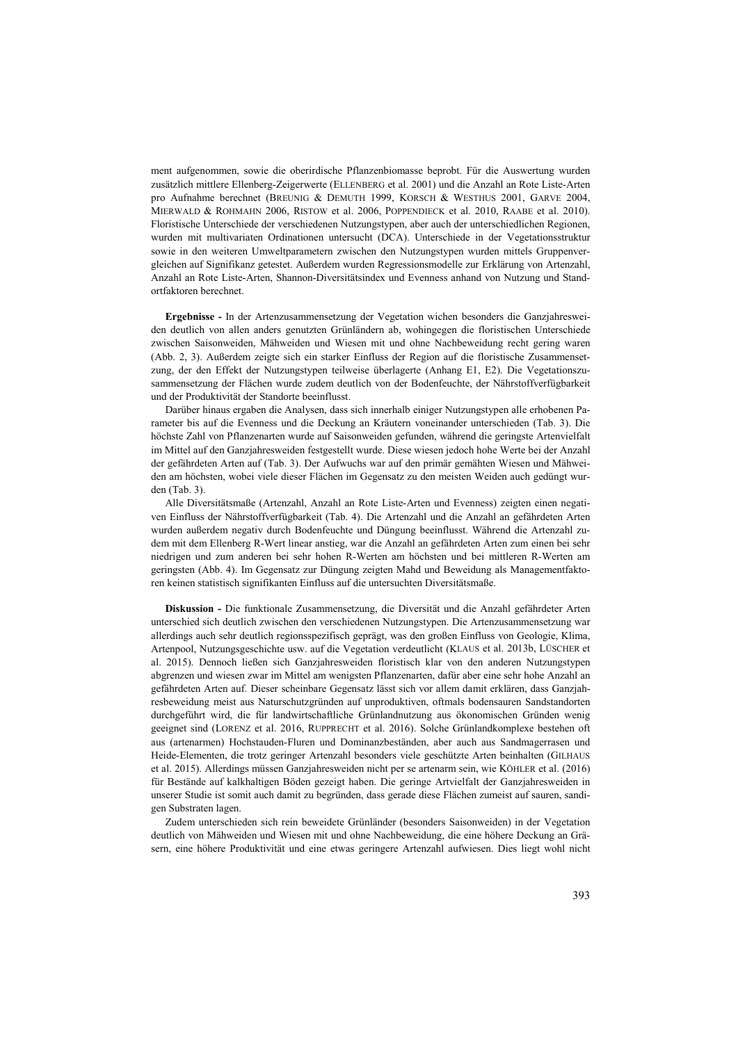ment aufgenommen, sowie die oberirdische Pflanzenbiomasse beprobt. Für die Auswertung wurden zusätzlich mittlere Ellenberg-Zeigerwerte (ELLENBERG et al. 2001) und die Anzahl an Rote Liste-Arten pro Aufnahme berechnet (BREUNIG & DEMUTH 1999, KORSCH & WESTHUS 2001, GARVE 2004, MIERWALD & ROHMAHN 2006, RISTOW et al. 2006, POPPENDIECK et al. 2010, RAABE et al. 2010). Floristische Unterschiede der verschiedenen Nutzungstypen, aber auch der unterschiedlichen Regionen, wurden mit multivariaten Ordinationen untersucht (DCA). Unterschiede in der Vegetationsstruktur sowie in den weiteren Umweltparametern zwischen den Nutzungstypen wurden mittels Gruppenvergleichen auf Signifikanz getestet. Außerdem wurden Regressionsmodelle zur Erklärung von Artenzahl, Anzahl an Rote Liste-Arten, Shannon-Diversitätsindex und Evenness anhand von Nutzung und Standortfaktoren berechnet.

**Ergebnisse -** In der Artenzusammensetzung der Vegetation wichen besonders die Ganzjahresweiden deutlich von allen anders genutzten Grünländern ab, wohingegen die floristischen Unterschiede zwischen Saisonweiden, Mähweiden und Wiesen mit und ohne Nachbeweidung recht gering waren (Abb. 2, 3). Außerdem zeigte sich ein starker Einfluss der Region auf die floristische Zusammensetzung, der den Effekt der Nutzungstypen teilweise überlagerte (Anhang E1, E2). Die Vegetationszusammensetzung der Flächen wurde zudem deutlich von der Bodenfeuchte, der Nährstoffverfügbarkeit und der Produktivität der Standorte beeinflusst.

Darüber hinaus ergaben die Analysen, dass sich innerhalb einiger Nutzungstypen alle erhobenen Parameter bis auf die Evenness und die Deckung an Kräutern voneinander unterschieden (Tab. 3). Die höchste Zahl von Pflanzenarten wurde auf Saisonweiden gefunden, während die geringste Artenvielfalt im Mittel auf den Ganzjahresweiden festgestellt wurde. Diese wiesen jedoch hohe Werte bei der Anzahl der gefährdeten Arten auf (Tab. 3). Der Aufwuchs war auf den primär gemähten Wiesen und Mähweiden am höchsten, wobei viele dieser Flächen im Gegensatz zu den meisten Weiden auch gedüngt wurden (Tab. 3).

Alle Diversitätsmaße (Artenzahl, Anzahl an Rote Liste-Arten und Evenness) zeigten einen negativen Einfluss der Nährstoffverfügbarkeit (Tab. 4). Die Artenzahl und die Anzahl an gefährdeten Arten wurden außerdem negativ durch Bodenfeuchte und Düngung beeinflusst. Während die Artenzahl zudem mit dem Ellenberg R-Wert linear anstieg, war die Anzahl an gefährdeten Arten zum einen bei sehr niedrigen und zum anderen bei sehr hohen R-Werten am höchsten und bei mittleren R-Werten am geringsten (Abb. 4). Im Gegensatz zur Düngung zeigten Mahd und Beweidung als Managementfaktoren keinen statistisch signifikanten Einfluss auf die untersuchten Diversitätsmaße.

**Diskussion -** Die funktionale Zusammensetzung, die Diversität und die Anzahl gefährdeter Arten unterschied sich deutlich zwischen den verschiedenen Nutzungstypen. Die Artenzusammensetzung war allerdings auch sehr deutlich regionsspezifisch geprägt, was den großen Einfluss von Geologie, Klima, Artenpool, Nutzungsgeschichte usw. auf die Vegetation verdeutlicht (KLAUS et al. 2013b, LÜSCHER et al. 2015). Dennoch ließen sich Ganzjahresweiden floristisch klar von den anderen Nutzungstypen abgrenzen und wiesen zwar im Mittel am wenigsten Pflanzenarten, dafür aber eine sehr hohe Anzahl an gefährdeten Arten auf. Dieser scheinbare Gegensatz lässt sich vor allem damit erklären, dass Ganzjahresbeweidung meist aus Naturschutzgründen auf unproduktiven, oftmals bodensauren Sandstandorten durchgeführt wird, die für landwirtschaftliche Grünlandnutzung aus ökonomischen Gründen wenig geeignet sind (LORENZ et al. 2016, RUPPRECHT et al. 2016). Solche Grünlandkomplexe bestehen oft aus (artenarmen) Hochstauden-Fluren und Dominanzbeständen, aber auch aus Sandmagerrasen und Heide-Elementen, die trotz geringer Artenzahl besonders viele geschützte Arten beinhalten (GILHAUS et al. 2015). Allerdings müssen Ganzjahresweiden nicht per se artenarm sein, wie KÖHLER et al. (2016) für Bestände auf kalkhaltigen Böden gezeigt haben. Die geringe Artvielfalt der Ganzjahresweiden in unserer Studie ist somit auch damit zu begründen, dass gerade diese Flächen zumeist auf sauren, sandigen Substraten lagen.

Zudem unterschieden sich rein beweidete Grünländer (besonders Saisonweiden) in der Vegetation deutlich von Mähweiden und Wiesen mit und ohne Nachbeweidung, die eine höhere Deckung an Gräsern, eine höhere Produktivität und eine etwas geringere Artenzahl aufwiesen. Dies liegt wohl nicht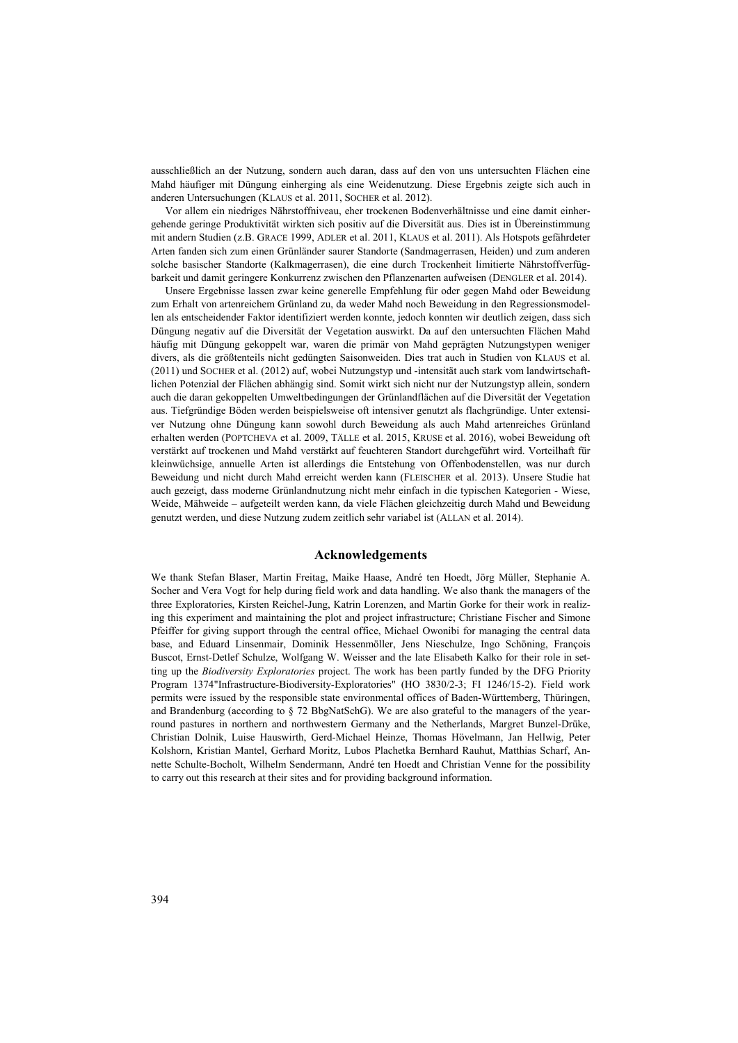ausschließlich an der Nutzung, sondern auch daran, dass auf den von uns untersuchten Flächen eine Mahd häufiger mit Düngung einherging als eine Weidenutzung. Diese Ergebnis zeigte sich auch in anderen Untersuchungen (KLAUS et al. 2011, SOCHER et al. 2012).

Vor allem ein niedriges Nährstoffniveau, eher trockenen Bodenverhältnisse und eine damit einhergehende geringe Produktivität wirkten sich positiv auf die Diversität aus. Dies ist in Übereinstimmung mit andern Studien (z.B. GRACE 1999, ADLER et al. 2011, KLAUS et al. 2011). Als Hotspots gefährdeter Arten fanden sich zum einen Grünländer saurer Standorte (Sandmagerrasen, Heiden) und zum anderen solche basischer Standorte (Kalkmagerrasen), die eine durch Trockenheit limitierte Nährstoffverfügbarkeit und damit geringere Konkurrenz zwischen den Pflanzenarten aufweisen (DENGLER et al. 2014).

Unsere Ergebnisse lassen zwar keine generelle Empfehlung für oder gegen Mahd oder Beweidung zum Erhalt von artenreichem Grünland zu, da weder Mahd noch Beweidung in den Regressionsmodellen als entscheidender Faktor identifiziert werden konnte, jedoch konnten wir deutlich zeigen, dass sich Düngung negativ auf die Diversität der Vegetation auswirkt. Da auf den untersuchten Flächen Mahd häufig mit Düngung gekoppelt war, waren die primär von Mahd geprägten Nutzungstypen weniger divers, als die größtenteils nicht gedüngten Saisonweiden. Dies trat auch in Studien von KLAUS et al. (2011) und SOCHER et al. (2012) auf, wobei Nutzungstyp und -intensität auch stark vom landwirtschaftlichen Potenzial der Flächen abhängig sind. Somit wirkt sich nicht nur der Nutzungstyp allein, sondern auch die daran gekoppelten Umweltbedingungen der Grünlandflächen auf die Diversität der Vegetation aus. Tiefgründige Böden werden beispielsweise oft intensiver genutzt als flachgründige. Unter extensiver Nutzung ohne Düngung kann sowohl durch Beweidung als auch Mahd artenreiches Grünland erhalten werden (POPTCHEVA et al. 2009, TÄLLE et al. 2015, KRUSE et al. 2016), wobei Beweidung oft verstärkt auf trockenen und Mahd verstärkt auf feuchteren Standort durchgeführt wird. Vorteilhaft für kleinwüchsige, annuelle Arten ist allerdings die Entstehung von Offenbodenstellen, was nur durch Beweidung und nicht durch Mahd erreicht werden kann (FLEISCHER et al. 2013). Unsere Studie hat auch gezeigt, dass moderne Grünlandnutzung nicht mehr einfach in die typischen Kategorien - Wiese, Weide, Mähweide – aufgeteilt werden kann, da viele Flächen gleichzeitig durch Mahd und Beweidung genutzt werden, und diese Nutzung zudem zeitlich sehr variabel ist (ALLAN et al. 2014).

#### **Acknowledgements**

We thank Stefan Blaser, Martin Freitag, Maike Haase, André ten Hoedt, Jörg Müller, Stephanie A. Socher and Vera Vogt for help during field work and data handling. We also thank the managers of the three Exploratories, Kirsten Reichel-Jung, Katrin Lorenzen, and Martin Gorke for their work in realizing this experiment and maintaining the plot and project infrastructure; Christiane Fischer and Simone Pfeiffer for giving support through the central office, Michael Owonibi for managing the central data base, and Eduard Linsenmair, Dominik Hessenmöller, Jens Nieschulze, Ingo Schöning, François Buscot, Ernst-Detlef Schulze, Wolfgang W. Weisser and the late Elisabeth Kalko for their role in setting up the *Biodiversity Exploratories* project. The work has been partly funded by the DFG Priority Program 1374"Infrastructure-Biodiversity-Exploratories" (HO 3830/2-3; FI 1246/15-2). Field work permits were issued by the responsible state environmental offices of Baden-Württemberg, Thüringen, and Brandenburg (according to § 72 BbgNatSchG). We are also grateful to the managers of the yearround pastures in northern and northwestern Germany and the Netherlands, Margret Bunzel-Drüke, Christian Dolnik, Luise Hauswirth, Gerd-Michael Heinze, Thomas Hövelmann, Jan Hellwig, Peter Kolshorn, Kristian Mantel, Gerhard Moritz, Lubos Plachetka Bernhard Rauhut, Matthias Scharf, Annette Schulte-Bocholt, Wilhelm Sendermann, André ten Hoedt and Christian Venne for the possibility to carry out this research at their sites and for providing background information.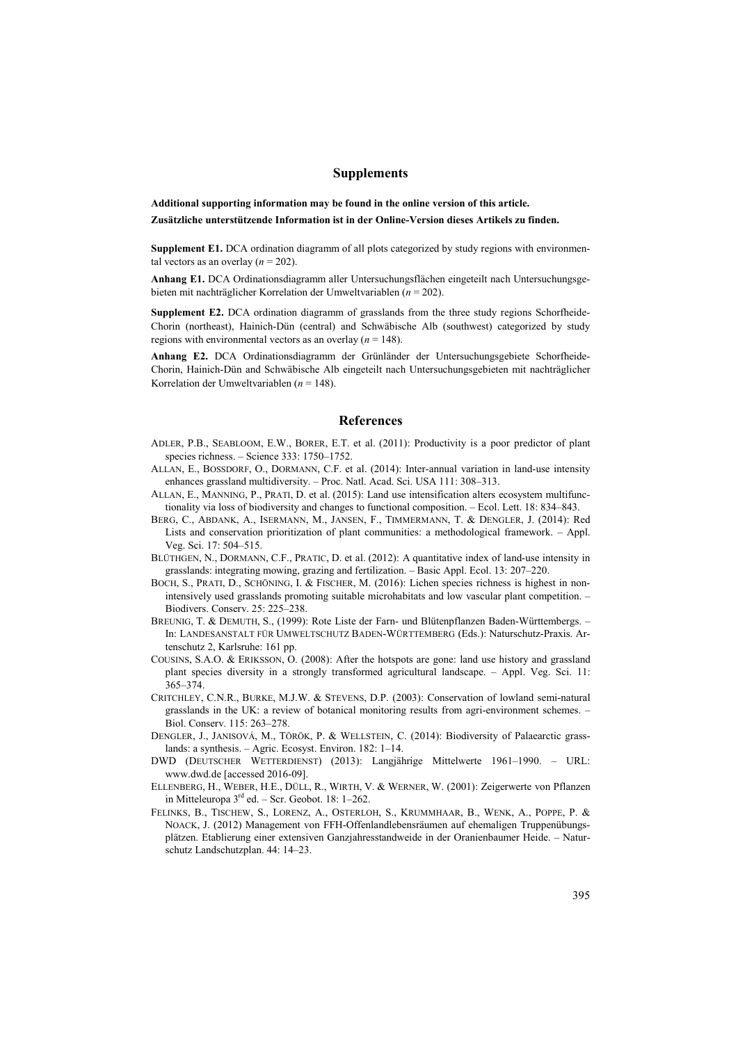## **Supplements**

**Additional supporting information may be found in the online version of this article. Zusätzliche unterstützende Information ist in der Online-Version dieses Artikels zu finden.**

**Supplement E1.** DCA ordination diagramm of all plots categorized by study regions with environmental vectors as an overlay  $(n = 202)$ .

**Anhang E1.** DCA Ordinationsdiagramm aller Untersuchungsflächen eingeteilt nach Untersuchungsgebieten mit nachträglicher Korrelation der Umweltvariablen (*n* = 202).

**Supplement E2.** DCA ordination diagramm of grasslands from the three study regions Schorfheide-Chorin (northeast), Hainich-Dün (central) and Schwäbische Alb (southwest) categorized by study regions with environmental vectors as an overlay  $(n = 148)$ .

**Anhang E2.** DCA Ordinationsdiagramm der Grünländer der Untersuchungsgebiete Schorfheide-Chorin, Hainich-Dün and Schwäbische Alb eingeteilt nach Untersuchungsgebieten mit nachträglicher Korrelation der Umweltvariablen (*n* = 148).

#### **References**

- ADLER, P.B., SEABLOOM, E.W., BORER, E.T. et al. (2011): Productivity is a poor predictor of plant species richness. – Science 333: 1750–1752.
- ALLAN, E., BOSSDORF, O., DORMANN, C.F. et al. (2014): Inter-annual variation in land-use intensity enhances grassland multidiversity. – Proc. Natl. Acad. Sci. USA 111: 308–313.
- ALLAN, E., MANNING, P., PRATI, D. et al. (2015): Land use intensification alters ecosystem multifunctionality via loss of biodiversity and changes to functional composition. – Ecol. Lett. 18: 834–843.
- BERG, C., ABDANK, A., ISERMANN, M., JANSEN, F., TIMMERMANN, T. & DENGLER, J. (2014): Red Lists and conservation prioritization of plant communities: a methodological framework. – Appl. Veg. Sci. 17: 504–515.
- BLÜTHGEN, N., DORMANN, C.F., PRATIC, D. et al. (2012): A quantitative index of land-use intensity in grasslands: integrating mowing, grazing and fertilization. – Basic Appl. Ecol. 13: 207–220.
- BOCH, S., PRATI, D., SCHÖNING, I. & FISCHER, M. (2016): Lichen species richness is highest in nonintensively used grasslands promoting suitable microhabitats and low vascular plant competition. – Biodivers. Conserv. 25: 225–238.
- BREUNIG, T. & DEMUTH, S., (1999): Rote Liste der Farn- und Blütenpflanzen Baden-Württembergs. In: LANDESANSTALT FÜR UMWELTSCHUTZ BADEN-WÜRTTEMBERG (Eds.): Naturschutz-Praxis. Artenschutz 2, Karlsruhe: 161 pp.
- COUSINS, S.A.O. & ERIKSSON, O. (2008): After the hotspots are gone: land use history and grassland plant species diversity in a strongly transformed agricultural landscape. – Appl. Veg. Sci. 11: 365–374.
- CRITCHLEY, C.N.R., BURKE, M.J.W. & STEVENS, D.P. (2003): Conservation of lowland semi-natural grasslands in the UK: a review of botanical monitoring results from agri-environment schemes. – Biol. Conserv. 115: 263–278.
- DENGLER, J., JANISOVÁ, M., TÖRÖK, P. & WELLSTEIN, C. (2014): Biodiversity of Palaearctic grasslands: a synthesis. – Agric. Ecosyst. Environ. 182: 1–14.
- DWD (DEUTSCHER WETTERDIENST) (2013): Langjährige Mittelwerte 1961–1990. URL: www.dwd.de [accessed 2016-09].
- ELLENBERG, H., WEBER, H.E., DÜLL, R., WIRTH, V. & WERNER, W. (2001): Zeigerwerte von Pflanzen in Mitteleuropa 3<sup>rd</sup> ed. – Scr. Geobot. 18: 1–262.
- FELINKS, B., TISCHEW, S., LORENZ, A., OSTERLOH, S., KRUMMHAAR, B., WENK, A., POPPE, P. & NOACK, J. (2012) Management von FFH-Offenlandlebensräumen auf ehemaligen Truppenübungsplätzen. Etablierung einer extensiven Ganzjahresstandweide in der Oranienbaumer Heide. – Naturschutz Landschutzplan. 44: 14–23.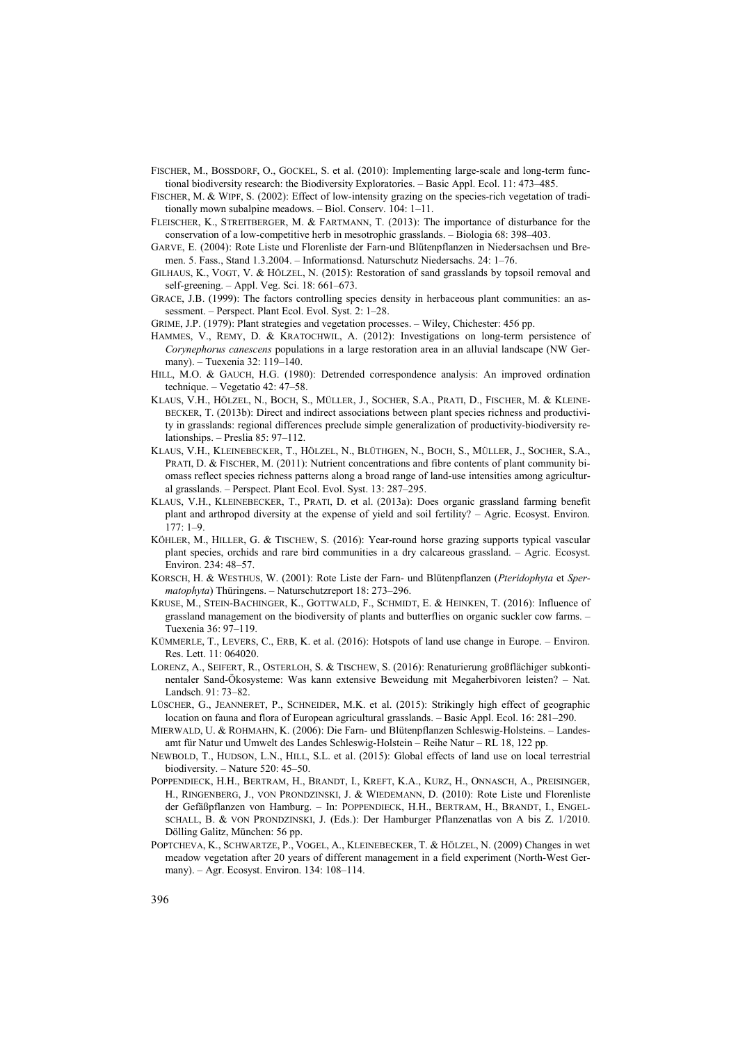- FISCHER, M., BOSSDORF, O., GOCKEL, S. et al. (2010): Implementing large-scale and long-term functional biodiversity research: the Biodiversity Exploratories. – Basic Appl. Ecol. 11: 473–485.
- FISCHER, M. & WIPF, S. (2002): Effect of low-intensity grazing on the species-rich vegetation of traditionally mown subalpine meadows. – Biol. Conserv. 104: 1–11.
- FLEISCHER, K., STREITBERGER, M. & FARTMANN, T. (2013): The importance of disturbance for the conservation of a low-competitive herb in mesotrophic grasslands. – Biologia 68: 398–403.
- GARVE, E. (2004): Rote Liste und Florenliste der Farn-und Blütenpflanzen in Niedersachsen und Bremen. 5. Fass., Stand 1.3.2004. – Informationsd. Naturschutz Niedersachs. 24: 1–76.
- GILHAUS, K., VOGT, V. & HÖLZEL, N. (2015): Restoration of sand grasslands by topsoil removal and self-greening. – Appl. Veg. Sci. 18: 661–673.
- GRACE, J.B. (1999): The factors controlling species density in herbaceous plant communities: an assessment. – Perspect. Plant Ecol. Evol. Syst. 2: 1–28.
- GRIME, J.P. (1979): Plant strategies and vegetation processes. Wiley, Chichester: 456 pp.
- HAMMES, V., REMY, D. & KRATOCHWIL, A. (2012): Investigations on long-term persistence of *Corynephorus canescens* populations in a large restoration area in an alluvial landscape (NW Germany). – Tuexenia 32: 119–140.
- HILL, M.O. & GAUCH, H.G. (1980): Detrended correspondence analysis: An improved ordination technique. – Vegetatio 42: 47–58.
- KLAUS, V.H., HÖLZEL, N., BOCH, S., MÜLLER, J., SOCHER, S.A., PRATI, D., FISCHER, M. & KLEINE-BECKER, T. (2013b): Direct and indirect associations between plant species richness and productivity in grasslands: regional differences preclude simple generalization of productivity-biodiversity relationships. – Preslia 85: 97–112.
- KLAUS, V.H., KLEINEBECKER, T., HÖLZEL, N., BLÜTHGEN, N., BOCH, S., MÜLLER, J., SOCHER, S.A., PRATI, D. & FISCHER, M. (2011): Nutrient concentrations and fibre contents of plant community biomass reflect species richness patterns along a broad range of land-use intensities among agricultural grasslands. – Perspect. Plant Ecol. Evol. Syst. 13: 287–295.
- KLAUS, V.H., KLEINEBECKER, T., PRATI, D. et al. (2013a): Does organic grassland farming benefit plant and arthropod diversity at the expense of yield and soil fertility? – Agric. Ecosyst. Environ. 177: 1–9.
- KÖHLER, M., HILLER, G. & TISCHEW, S. (2016): Year-round horse grazing supports typical vascular plant species, orchids and rare bird communities in a dry calcareous grassland. – Agric. Ecosyst. Environ. 234: 48–57.
- KORSCH, H. & WESTHUS, W. (2001): Rote Liste der Farn- und Blütenpflanzen (*Pteridophyta* et *Spermatophyta*) Thüringens. – Naturschutzreport 18: 273–296.
- KRUSE, M., STEIN-BACHINGER, K., GOTTWALD, F., SCHMIDT, E. & HEINKEN, T. (2016): Influence of grassland management on the biodiversity of plants and butterflies on organic suckler cow farms. – Tuexenia 36: 97–119.
- KÜMMERLE, T., LEVERS, C., ERB, K. et al. (2016): Hotspots of land use change in Europe. Environ. Res. Lett. 11: 064020.
- LORENZ, A., SEIFERT, R., OSTERLOH, S. & TISCHEW, S. (2016): Renaturierung großflächiger subkontinentaler Sand-Ökosysteme: Was kann extensive Beweidung mit Megaherbivoren leisten? – Nat. Landsch. 91: 73–82.
- LÜSCHER, G., JEANNERET, P., SCHNEIDER, M.K. et al. (2015): Strikingly high effect of geographic location on fauna and flora of European agricultural grasslands. – Basic Appl. Ecol. 16: 281–290.
- MIERWALD, U. & ROHMAHN, K. (2006): Die Farn- und Blütenpflanzen Schleswig-Holsteins. Landesamt für Natur und Umwelt des Landes Schleswig-Holstein – Reihe Natur – RL 18, 122 pp.
- NEWBOLD, T., HUDSON, L.N., HILL, S.L. et al. (2015): Global effects of land use on local terrestrial biodiversity. – Nature 520: 45–50.
- POPPENDIECK, H.H., BERTRAM, H., BRANDT, I., KREFT, K.A., KURZ, H., ONNASCH, A., PREISINGER, H., RINGENBERG, J., VON PRONDZINSKI, J. & WIEDEMANN, D. (2010): Rote Liste und Florenliste der Gefäßpflanzen von Hamburg. – In: POPPENDIECK, H.H., BERTRAM, H., BRANDT, I., ENGEL-SCHALL, B. & VON PRONDZINSKI, J. (Eds.): Der Hamburger Pflanzenatlas von A bis Z. 1/2010. Dölling Galitz, München: 56 pp.
- POPTCHEVA, K., SCHWARTZE, P., VOGEL, A., KLEINEBECKER, T. & HÖLZEL, N. (2009) Changes in wet meadow vegetation after 20 years of different management in a field experiment (North-West Germany). – Agr. Ecosyst. Environ. 134: 108–114.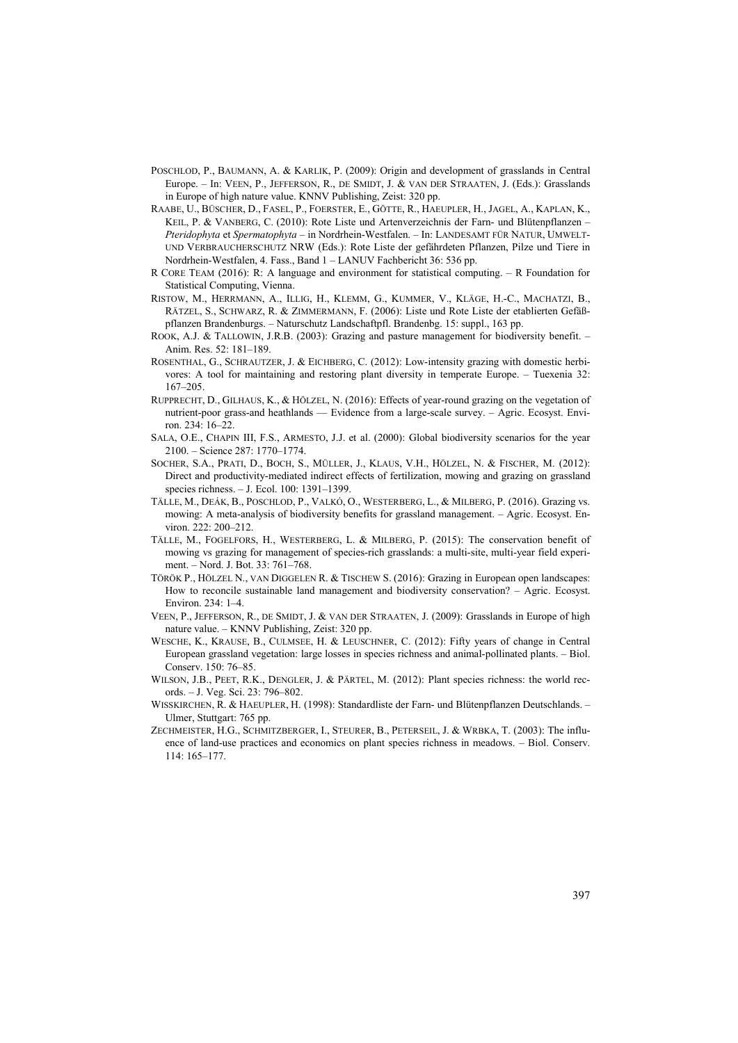- POSCHLOD, P., BAUMANN, A. & KARLIK, P. (2009): Origin and development of grasslands in Central Europe. – In: VEEN, P., JEFFERSON, R., DE SMIDT, J. & VAN DER STRAATEN, J. (Eds.): Grasslands in Europe of high nature value. KNNV Publishing, Zeist: 320 pp.
- RAABE, U., BÜSCHER, D., FASEL, P., FOERSTER, E., GÖTTE, R., HAEUPLER, H., JAGEL, A., KAPLAN, K., KEIL, P. & VANBERG, C. (2010): Rote Liste und Artenverzeichnis der Farn- und Blütenpflanzen – *Pteridophyta* et *Spermatophyta* – in Nordrhein-Westfalen. – In: LANDESAMT FÜR NATUR, UMWELT-UND VERBRAUCHERSCHUTZ NRW (Eds.): Rote Liste der gefährdeten Pflanzen, Pilze und Tiere in Nordrhein-Westfalen, 4. Fass., Band 1 – LANUV Fachbericht 36: 536 pp.
- R CORE TEAM (2016): R: A language and environment for statistical computing. R Foundation for Statistical Computing, Vienna.
- RISTOW, M., HERRMANN, A., ILLIG, H., KLEMM, G., KUMMER, V., KLÄGE, H.-C., MACHATZI, B., RÄTZEL, S., SCHWARZ, R. & ZIMMERMANN, F. (2006): Liste und Rote Liste der etablierten Gefäßpflanzen Brandenburgs. – Naturschutz Landschaftpfl. Brandenbg. 15: suppl., 163 pp.
- ROOK, A.J. & TALLOWIN, J.R.B. (2003): Grazing and pasture management for biodiversity benefit. Anim. Res. 52: 181–189.
- ROSENTHAL, G., SCHRAUTZER, J. & EICHBERG, C. (2012): Low-intensity grazing with domestic herbivores: A tool for maintaining and restoring plant diversity in temperate Europe. – Tuexenia 32: 167–205.
- RUPPRECHT, D., GILHAUS, K., & HÖLZEL, N. (2016): Effects of year-round grazing on the vegetation of nutrient-poor grass-and heathlands — Evidence from a large-scale survey. – Agric. Ecosyst. Environ. 234: 16–22.
- SALA, O.E., CHAPIN III, F.S., ARMESTO, J.J. et al. (2000): Global biodiversity scenarios for the year 2100. – Science 287: 1770–1774.
- SOCHER, S.A., PRATI, D., BOCH, S., MÜLLER, J., KLAUS, V.H., HÖLZEL, N. & FISCHER, M. (2012): Direct and productivity-mediated indirect effects of fertilization, mowing and grazing on grassland species richness. – J. Ecol. 100: 1391–1399.
- TÄLLE, M., DEÁK, B., POSCHLOD, P., VALKÓ, O., WESTERBERG, L., & MILBERG, P. (2016). Grazing vs. mowing: A meta-analysis of biodiversity benefits for grassland management. – Agric. Ecosyst. Environ. 222: 200–212.
- TÄLLE, M., FOGELFORS, H., WESTERBERG, L. & MILBERG, P. (2015): The conservation benefit of mowing vs grazing for management of species-rich grasslands: a multi-site, multi-year field experiment. – Nord. J. Bot. 33: 761–768.
- TÖRÖK P., HÖLZEL N., VAN DIGGELEN R. & TISCHEW S. (2016): Grazing in European open landscapes: How to reconcile sustainable land management and biodiversity conservation? – Agric. Ecosyst. Environ. 234: 1–4.
- VEEN, P., JEFFERSON, R., DE SMIDT, J. & VAN DER STRAATEN, J. (2009): Grasslands in Europe of high nature value. – KNNV Publishing, Zeist: 320 pp.
- WESCHE, K., KRAUSE, B., CULMSEE, H. & LEUSCHNER, C. (2012): Fifty years of change in Central European grassland vegetation: large losses in species richness and animal-pollinated plants. – Biol. Conserv. 150: 76–85.
- WILSON, J.B., PEET, R.K., DENGLER, J. & PÄRTEL, M. (2012): Plant species richness: the world records. – J. Veg. Sci. 23: 796–802.
- WISSKIRCHEN, R. & HAEUPLER, H. (1998): Standardliste der Farn- und Blütenpflanzen Deutschlands. Ulmer, Stuttgart: 765 pp.
- ZECHMEISTER, H.G., SCHMITZBERGER, I., STEURER, B., PETERSEIL, J. & WRBKA, T. (2003): The influence of land-use practices and economics on plant species richness in meadows. – Biol. Conserv. 114: 165–177.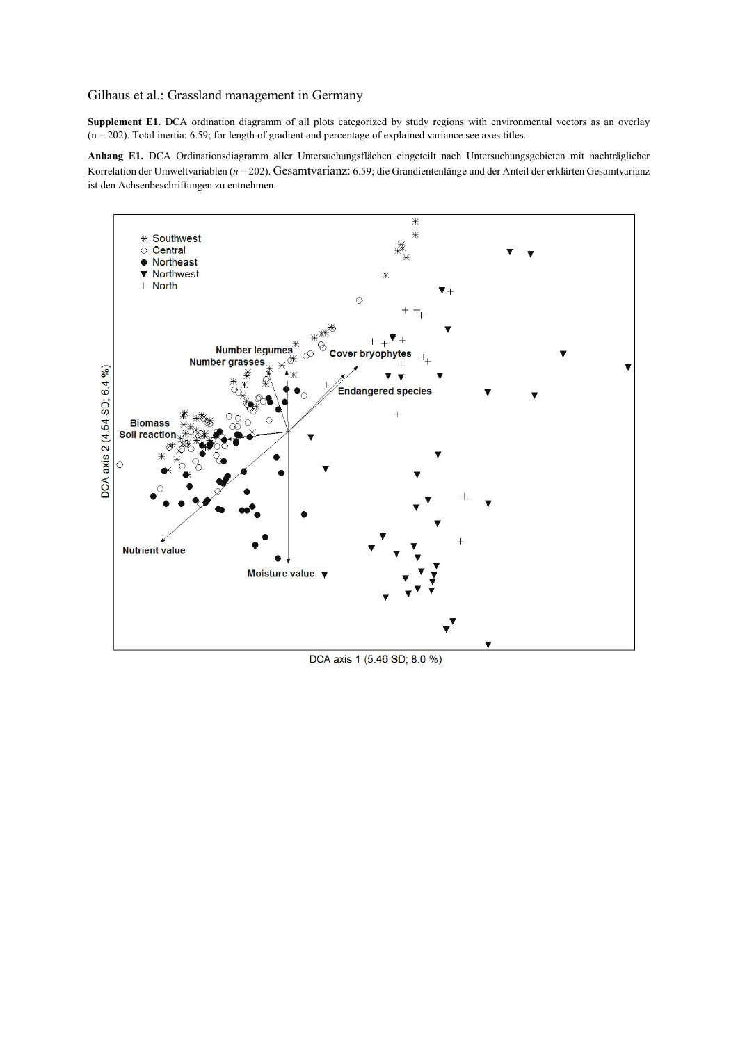## Gilhaus et al.: Grassland management in Germany

**Supplement E1.** DCA ordination diagramm of all plots categorized by study regions with environmental vectors as an overlay  $(n = 202)$ . Total inertia: 6.59; for length of gradient and percentage of explained variance see axes titles.

**Anhang E1.** DCA Ordinationsdiagramm aller Untersuchungsflächen eingeteilt nach Untersuchungsgebieten mit nachträglicher Korrelation der Umweltvariablen (*n* = 202). Gesamtvarianz: 6.59; die Grandientenlänge und der Anteil der erklärten Gesamtvarianz ist den Achsenbeschriftungen zu entnehmen.



DCA axis 1 (5.46 SD; 8.0 %)